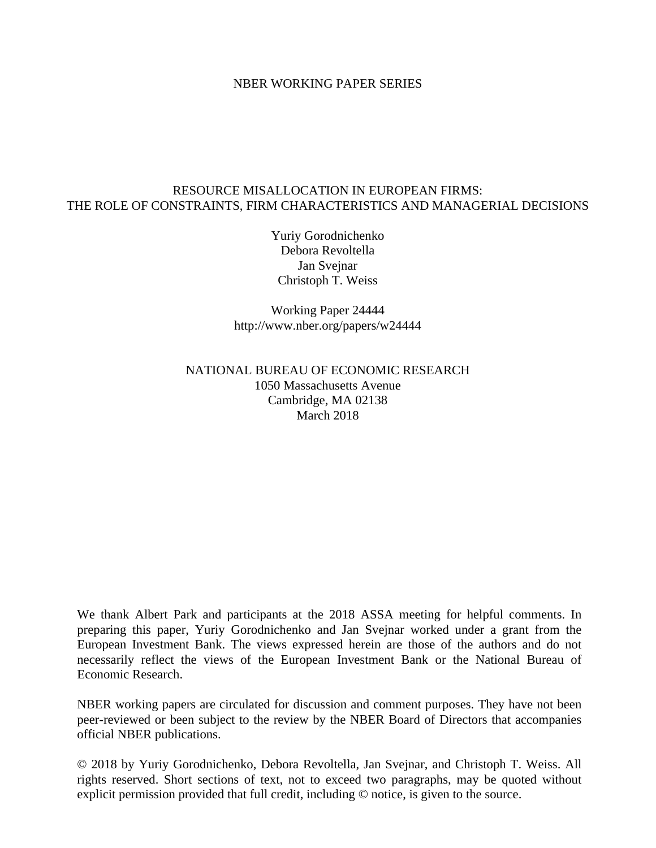### NBER WORKING PAPER SERIES

### RESOURCE MISALLOCATION IN EUROPEAN FIRMS: THE ROLE OF CONSTRAINTS, FIRM CHARACTERISTICS AND MANAGERIAL DECISIONS

Yuriy Gorodnichenko Debora Revoltella Jan Svejnar Christoph T. Weiss

Working Paper 24444 http://www.nber.org/papers/w24444

### NATIONAL BUREAU OF ECONOMIC RESEARCH 1050 Massachusetts Avenue Cambridge, MA 02138 March 2018

We thank Albert Park and participants at the 2018 ASSA meeting for helpful comments. In preparing this paper, Yuriy Gorodnichenko and Jan Svejnar worked under a grant from the European Investment Bank. The views expressed herein are those of the authors and do not necessarily reflect the views of the European Investment Bank or the National Bureau of Economic Research.

NBER working papers are circulated for discussion and comment purposes. They have not been peer-reviewed or been subject to the review by the NBER Board of Directors that accompanies official NBER publications.

© 2018 by Yuriy Gorodnichenko, Debora Revoltella, Jan Svejnar, and Christoph T. Weiss. All rights reserved. Short sections of text, not to exceed two paragraphs, may be quoted without explicit permission provided that full credit, including © notice, is given to the source.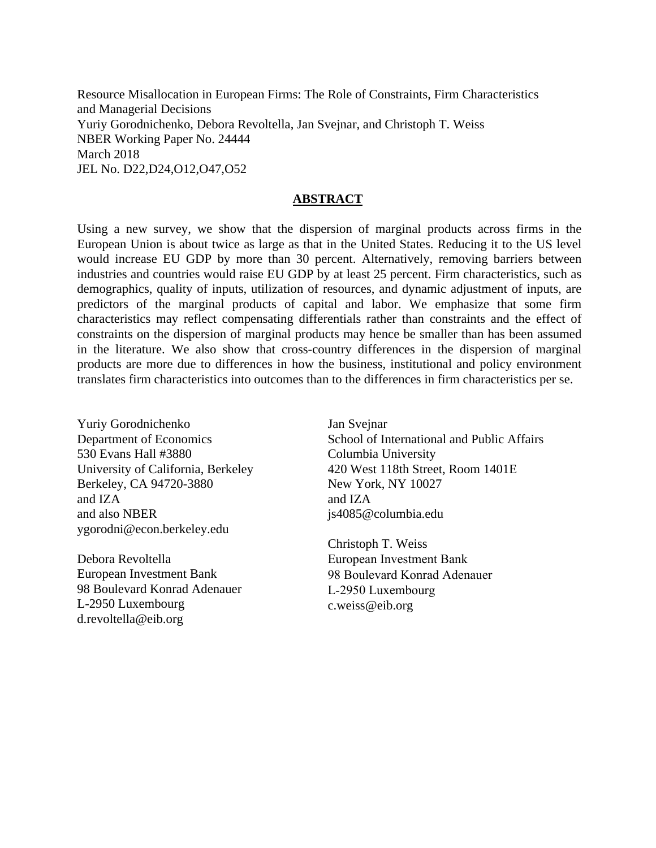Resource Misallocation in European Firms: The Role of Constraints, Firm Characteristics and Managerial Decisions Yuriy Gorodnichenko, Debora Revoltella, Jan Svejnar, and Christoph T. Weiss NBER Working Paper No. 24444 March 2018 JEL No. D22,D24,O12,O47,O52

### **ABSTRACT**

Using a new survey, we show that the dispersion of marginal products across firms in the European Union is about twice as large as that in the United States. Reducing it to the US level would increase EU GDP by more than 30 percent. Alternatively, removing barriers between industries and countries would raise EU GDP by at least 25 percent. Firm characteristics, such as demographics, quality of inputs, utilization of resources, and dynamic adjustment of inputs, are predictors of the marginal products of capital and labor. We emphasize that some firm characteristics may reflect compensating differentials rather than constraints and the effect of constraints on the dispersion of marginal products may hence be smaller than has been assumed in the literature. We also show that cross-country differences in the dispersion of marginal products are more due to differences in how the business, institutional and policy environment translates firm characteristics into outcomes than to the differences in firm characteristics per se.

Yuriy Gorodnichenko Department of Economics 530 Evans Hall #3880 University of California, Berkeley Berkeley, CA 94720-3880 and IZA and also NBER ygorodni@econ.berkeley.edu

Debora Revoltella European Investment Bank 98 Boulevard Konrad Adenauer L-2950 Luxembourg d.revoltella@eib.org

Jan Svejnar School of International and Public Affairs Columbia University 420 West 118th Street, Room 1401E New York, NY 10027 and IZA js4085@columbia.edu

Christoph T. Weiss European Investment Bank 98 Boulevard Konrad Adenauer L-2950 Luxembourg c.weiss@eib.org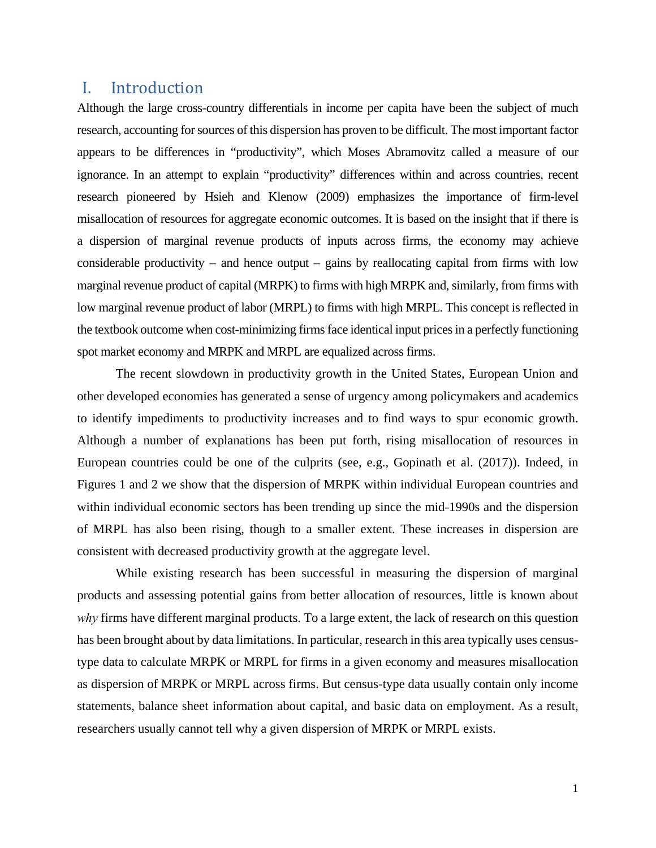## I. Introduction

Although the large cross-country differentials in income per capita have been the subject of much research, accounting for sources of this dispersion has proven to be difficult. The most important factor appears to be differences in "productivity", which Moses Abramovitz called a measure of our ignorance. In an attempt to explain "productivity" differences within and across countries, recent research pioneered by Hsieh and Klenow (2009) emphasizes the importance of firm-level misallocation of resources for aggregate economic outcomes. It is based on the insight that if there is a dispersion of marginal revenue products of inputs across firms, the economy may achieve considerable productivity – and hence output – gains by reallocating capital from firms with low marginal revenue product of capital (MRPK) to firms with high MRPK and, similarly, from firms with low marginal revenue product of labor (MRPL) to firms with high MRPL. This concept is reflected in the textbook outcome when cost-minimizing firms face identical input prices in a perfectly functioning spot market economy and MRPK and MRPL are equalized across firms.

The recent slowdown in productivity growth in the United States, European Union and other developed economies has generated a sense of urgency among policymakers and academics to identify impediments to productivity increases and to find ways to spur economic growth. Although a number of explanations has been put forth, rising misallocation of resources in European countries could be one of the culprits (see, e.g., Gopinath et al. (2017)). Indeed, in Figures 1 and 2 we show that the dispersion of MRPK within individual European countries and within individual economic sectors has been trending up since the mid-1990s and the dispersion of MRPL has also been rising, though to a smaller extent. These increases in dispersion are consistent with decreased productivity growth at the aggregate level.

While existing research has been successful in measuring the dispersion of marginal products and assessing potential gains from better allocation of resources, little is known about *why* firms have different marginal products. To a large extent, the lack of research on this question has been brought about by data limitations. In particular, research in this area typically uses censustype data to calculate MRPK or MRPL for firms in a given economy and measures misallocation as dispersion of MRPK or MRPL across firms. But census-type data usually contain only income statements, balance sheet information about capital, and basic data on employment. As a result, researchers usually cannot tell why a given dispersion of MRPK or MRPL exists.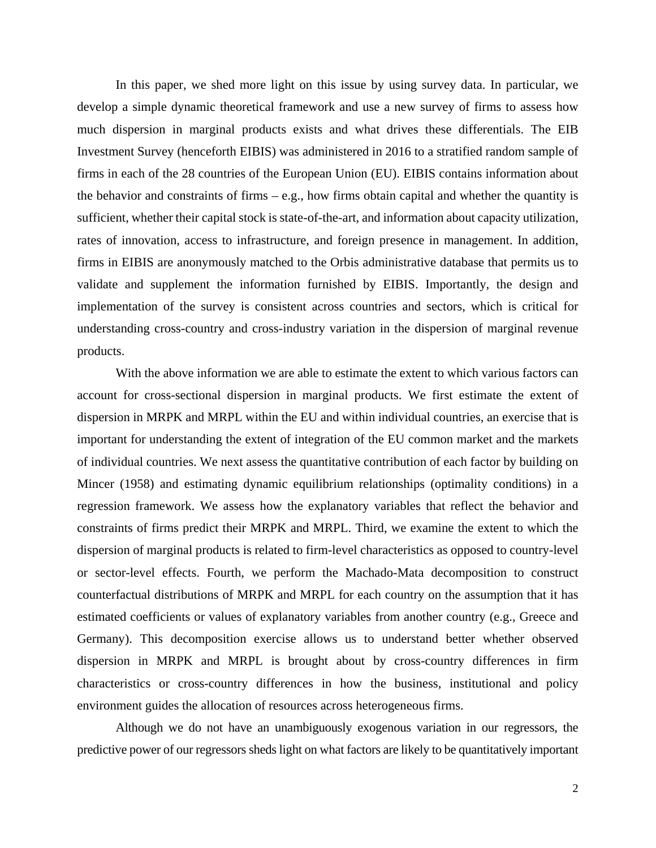In this paper, we shed more light on this issue by using survey data. In particular, we develop a simple dynamic theoretical framework and use a new survey of firms to assess how much dispersion in marginal products exists and what drives these differentials. The EIB Investment Survey (henceforth EIBIS) was administered in 2016 to a stratified random sample of firms in each of the 28 countries of the European Union (EU). EIBIS contains information about the behavior and constraints of firms – e.g., how firms obtain capital and whether the quantity is sufficient, whether their capital stock is state-of-the-art, and information about capacity utilization, rates of innovation, access to infrastructure, and foreign presence in management. In addition, firms in EIBIS are anonymously matched to the Orbis administrative database that permits us to validate and supplement the information furnished by EIBIS. Importantly, the design and implementation of the survey is consistent across countries and sectors, which is critical for understanding cross-country and cross-industry variation in the dispersion of marginal revenue products.

With the above information we are able to estimate the extent to which various factors can account for cross-sectional dispersion in marginal products. We first estimate the extent of dispersion in MRPK and MRPL within the EU and within individual countries, an exercise that is important for understanding the extent of integration of the EU common market and the markets of individual countries. We next assess the quantitative contribution of each factor by building on Mincer (1958) and estimating dynamic equilibrium relationships (optimality conditions) in a regression framework. We assess how the explanatory variables that reflect the behavior and constraints of firms predict their MRPK and MRPL. Third, we examine the extent to which the dispersion of marginal products is related to firm-level characteristics as opposed to country-level or sector-level effects. Fourth, we perform the Machado-Mata decomposition to construct counterfactual distributions of MRPK and MRPL for each country on the assumption that it has estimated coefficients or values of explanatory variables from another country (e.g., Greece and Germany). This decomposition exercise allows us to understand better whether observed dispersion in MRPK and MRPL is brought about by cross-country differences in firm characteristics or cross-country differences in how the business, institutional and policy environment guides the allocation of resources across heterogeneous firms.

Although we do not have an unambiguously exogenous variation in our regressors, the predictive power of our regressors sheds light on what factors are likely to be quantitatively important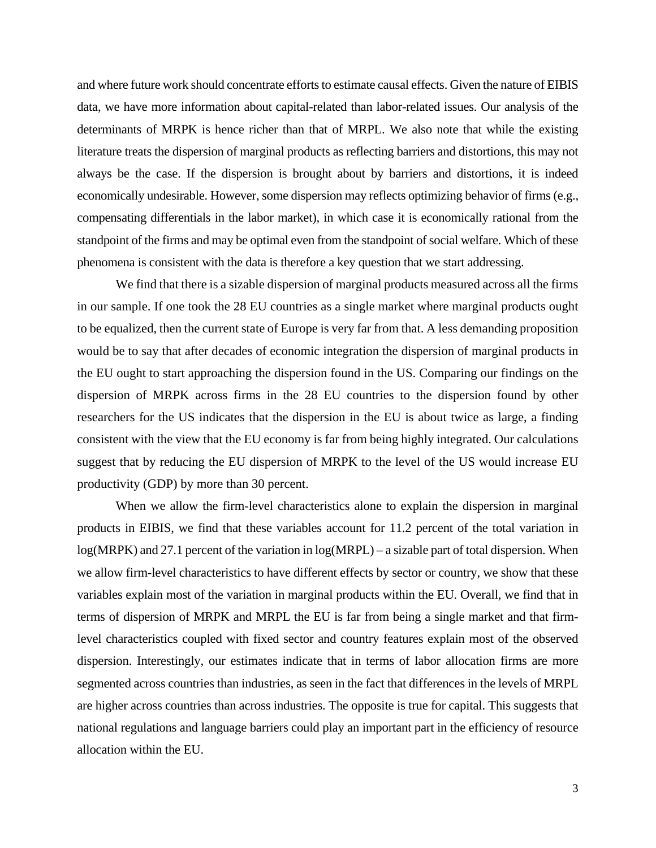and where future work should concentrate efforts to estimate causal effects. Given the nature of EIBIS data, we have more information about capital-related than labor-related issues. Our analysis of the determinants of MRPK is hence richer than that of MRPL. We also note that while the existing literature treats the dispersion of marginal products as reflecting barriers and distortions, this may not always be the case. If the dispersion is brought about by barriers and distortions, it is indeed economically undesirable. However, some dispersion may reflects optimizing behavior of firms (e.g., compensating differentials in the labor market), in which case it is economically rational from the standpoint of the firms and may be optimal even from the standpoint of social welfare. Which of these phenomena is consistent with the data is therefore a key question that we start addressing.

We find that there is a sizable dispersion of marginal products measured across all the firms in our sample. If one took the 28 EU countries as a single market where marginal products ought to be equalized, then the current state of Europe is very far from that. A less demanding proposition would be to say that after decades of economic integration the dispersion of marginal products in the EU ought to start approaching the dispersion found in the US. Comparing our findings on the dispersion of MRPK across firms in the 28 EU countries to the dispersion found by other researchers for the US indicates that the dispersion in the EU is about twice as large, a finding consistent with the view that the EU economy is far from being highly integrated. Our calculations suggest that by reducing the EU dispersion of MRPK to the level of the US would increase EU productivity (GDP) by more than 30 percent.

When we allow the firm-level characteristics alone to explain the dispersion in marginal products in EIBIS, we find that these variables account for 11.2 percent of the total variation in log(MRPK) and 27.1 percent of the variation in log(MRPL) – a sizable part of total dispersion. When we allow firm-level characteristics to have different effects by sector or country, we show that these variables explain most of the variation in marginal products within the EU. Overall, we find that in terms of dispersion of MRPK and MRPL the EU is far from being a single market and that firmlevel characteristics coupled with fixed sector and country features explain most of the observed dispersion. Interestingly, our estimates indicate that in terms of labor allocation firms are more segmented across countries than industries, as seen in the fact that differences in the levels of MRPL are higher across countries than across industries. The opposite is true for capital. This suggests that national regulations and language barriers could play an important part in the efficiency of resource allocation within the EU.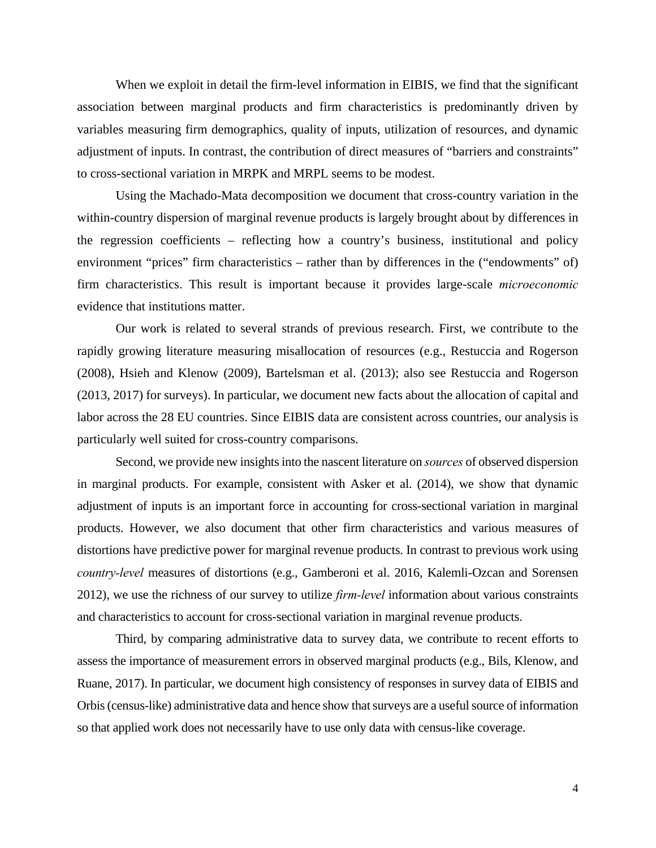When we exploit in detail the firm-level information in EIBIS, we find that the significant association between marginal products and firm characteristics is predominantly driven by variables measuring firm demographics, quality of inputs, utilization of resources, and dynamic adjustment of inputs. In contrast, the contribution of direct measures of "barriers and constraints" to cross-sectional variation in MRPK and MRPL seems to be modest.

Using the Machado-Mata decomposition we document that cross-country variation in the within-country dispersion of marginal revenue products is largely brought about by differences in the regression coefficients – reflecting how a country's business, institutional and policy environment "prices" firm characteristics – rather than by differences in the ("endowments" of) firm characteristics. This result is important because it provides large-scale *microeconomic* evidence that institutions matter.

Our work is related to several strands of previous research. First, we contribute to the rapidly growing literature measuring misallocation of resources (e.g., Restuccia and Rogerson (2008), Hsieh and Klenow (2009), Bartelsman et al. (2013); also see Restuccia and Rogerson (2013, 2017) for surveys). In particular, we document new facts about the allocation of capital and labor across the 28 EU countries. Since EIBIS data are consistent across countries, our analysis is particularly well suited for cross-country comparisons.

Second, we provide new insights into the nascent literature on *sources* of observed dispersion in marginal products. For example, consistent with Asker et al. (2014), we show that dynamic adjustment of inputs is an important force in accounting for cross-sectional variation in marginal products. However, we also document that other firm characteristics and various measures of distortions have predictive power for marginal revenue products. In contrast to previous work using *country-level* measures of distortions (e.g., Gamberoni et al. 2016, Kalemli-Ozcan and Sorensen 2012), we use the richness of our survey to utilize *firm-level* information about various constraints and characteristics to account for cross-sectional variation in marginal revenue products.

Third, by comparing administrative data to survey data, we contribute to recent efforts to assess the importance of measurement errors in observed marginal products (e.g., Bils, Klenow, and Ruane, 2017). In particular, we document high consistency of responses in survey data of EIBIS and Orbis (census-like) administrative data and hence show that surveys are a useful source of information so that applied work does not necessarily have to use only data with census-like coverage.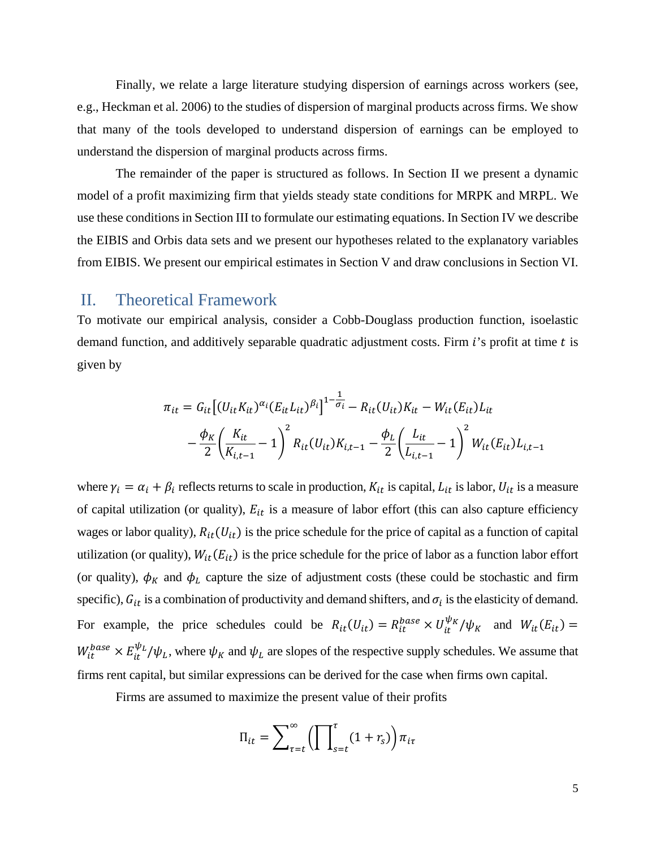Finally, we relate a large literature studying dispersion of earnings across workers (see, e.g., Heckman et al. 2006) to the studies of dispersion of marginal products across firms. We show that many of the tools developed to understand dispersion of earnings can be employed to understand the dispersion of marginal products across firms.

The remainder of the paper is structured as follows. In Section II we present a dynamic model of a profit maximizing firm that yields steady state conditions for MRPK and MRPL. We use these conditions in Section III to formulate our estimating equations. In Section IV we describe the EIBIS and Orbis data sets and we present our hypotheses related to the explanatory variables from EIBIS. We present our empirical estimates in Section V and draw conclusions in Section VI.

## II. Theoretical Framework

To motivate our empirical analysis, consider a Cobb-Douglass production function, isoelastic demand function, and additively separable quadratic adjustment costs. Firm  $i$ 's profit at time  $t$  is given by

$$
\pi_{it} = G_{it} \left[ (U_{it} K_{it})^{\alpha_i} (E_{it} L_{it})^{\beta_i} \right]^{1 - \frac{1}{\sigma_i}} - R_{it} (U_{it}) K_{it} - W_{it} (E_{it}) L_{it}
$$

$$
- \frac{\phi_K}{2} \left( \frac{K_{it}}{K_{i,t-1}} - 1 \right)^2 R_{it} (U_{it}) K_{i,t-1} - \frac{\phi_L}{2} \left( \frac{L_{it}}{L_{i,t-1}} - 1 \right)^2 W_{it} (E_{it}) L_{i,t-1}
$$

where  $\gamma_i = \alpha_i + \beta_i$  reflects returns to scale in production,  $K_{it}$  is capital,  $L_{it}$  is labor,  $U_{it}$  is a measure of capital utilization (or quality),  $E_{it}$  is a measure of labor effort (this can also capture efficiency wages or labor quality),  $R_{it}(U_{it})$  is the price schedule for the price of capital as a function of capital utilization (or quality),  $W_{it}(E_{it})$  is the price schedule for the price of labor as a function labor effort (or quality),  $\phi_K$  and  $\phi_L$  capture the size of adjustment costs (these could be stochastic and firm specific),  $G_{it}$  is a combination of productivity and demand shifters, and  $\sigma_i$  is the elasticity of demand. For example, the price schedules could be  $R_{it}(U_{it}) = R_{it}^{base} \times U_{it}^{\psi_K}/\psi_K$  and  $W_{it}(E_{it}) =$  $W_{it}^{base} \times E_{it}^{\psi_L}/\psi_L$ , where  $\psi_K$  and  $\psi_L$  are slopes of the respective supply schedules. We assume that firms rent capital, but similar expressions can be derived for the case when firms own capital.

Firms are assumed to maximize the present value of their profits

$$
\Pi_{it} = \sum_{\tau=t}^{\infty} \left( \prod_{s=t}^{\tau} (1 + r_s) \right) \pi_{it}
$$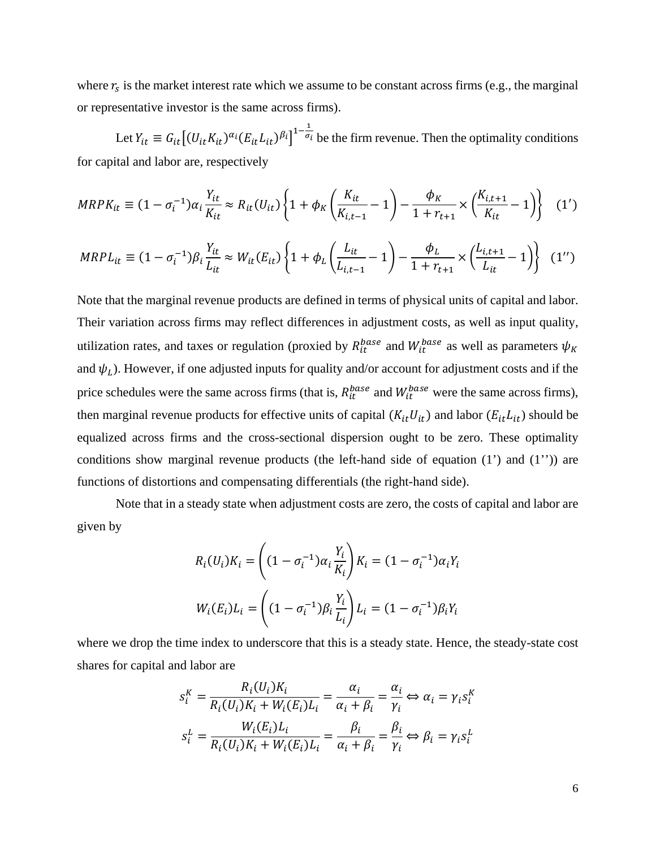where  $r_s$  is the market interest rate which we assume to be constant across firms (e.g., the marginal or representative investor is the same across firms).

Let  $Y_{it} \equiv G_{it} \left[ (U_{it} K_{it})^{\alpha_i} (E_{it} L_{it})^{\beta_i} \right]^{1-\frac{1}{\sigma_i}}$  be the firm revenue. Then the optimality conditions for capital and labor are, respectively

$$
MRPK_{it} \equiv (1 - \sigma_i^{-1})\alpha_i \frac{Y_{it}}{K_{it}} \approx R_{it}(U_{it}) \left\{ 1 + \phi_K \left( \frac{K_{it}}{K_{i,t-1}} - 1 \right) - \frac{\phi_K}{1 + r_{t+1}} \times \left( \frac{K_{i,t+1}}{K_{it}} - 1 \right) \right\} \tag{1'}
$$

$$
MRPL_{it} \equiv (1 - \sigma_i^{-1}) \beta_i \frac{Y_{it}}{L_{it}} \approx W_{it}(E_{it}) \left\{ 1 + \phi_L \left( \frac{L_{it}}{L_{i,t-1}} - 1 \right) - \frac{\phi_L}{1 + r_{t+1}} \times \left( \frac{L_{i,t+1}}{L_{it}} - 1 \right) \right\} (1'')
$$

Note that the marginal revenue products are defined in terms of physical units of capital and labor. Their variation across firms may reflect differences in adjustment costs, as well as input quality, utilization rates, and taxes or regulation (proxied by  $R_{it}^{base}$  and  $W_{it}^{base}$  as well as parameters  $\psi_K$ and  $\psi_L$ ). However, if one adjusted inputs for quality and/or account for adjustment costs and if the price schedules were the same across firms (that is,  $R_{it}^{base}$  and  $W_{it}^{base}$  were the same across firms), then marginal revenue products for effective units of capital  $(K_{it}U_{it})$  and labor  $(E_{it}L_{it})$  should be equalized across firms and the cross-sectional dispersion ought to be zero. These optimality conditions show marginal revenue products (the left-hand side of equation (1') and (1'')) are functions of distortions and compensating differentials (the right-hand side).

Note that in a steady state when adjustment costs are zero, the costs of capital and labor are given by

$$
R_i(U_i)K_i = \left( (1 - \sigma_i^{-1})\alpha_i \frac{Y_i}{K_i} \right) K_i = (1 - \sigma_i^{-1})\alpha_i Y_i
$$
  

$$
W_i(E_i)L_i = \left( (1 - \sigma_i^{-1})\beta_i \frac{Y_i}{L_i} \right) L_i = (1 - \sigma_i^{-1})\beta_i Y_i
$$

where we drop the time index to underscore that this is a steady state. Hence, the steady-state cost shares for capital and labor are

$$
s_i^K = \frac{R_i(U_i)K_i}{R_i(U_i)K_i + W_i(E_i)L_i} = \frac{\alpha_i}{\alpha_i + \beta_i} = \frac{\alpha_i}{\gamma_i} \Leftrightarrow \alpha_i = \gamma_i s_i^K
$$

$$
s_i^L = \frac{W_i(E_i)L_i}{R_i(U_i)K_i + W_i(E_i)L_i} = \frac{\beta_i}{\alpha_i + \beta_i} = \frac{\beta_i}{\gamma_i} \Leftrightarrow \beta_i = \gamma_i s_i^L
$$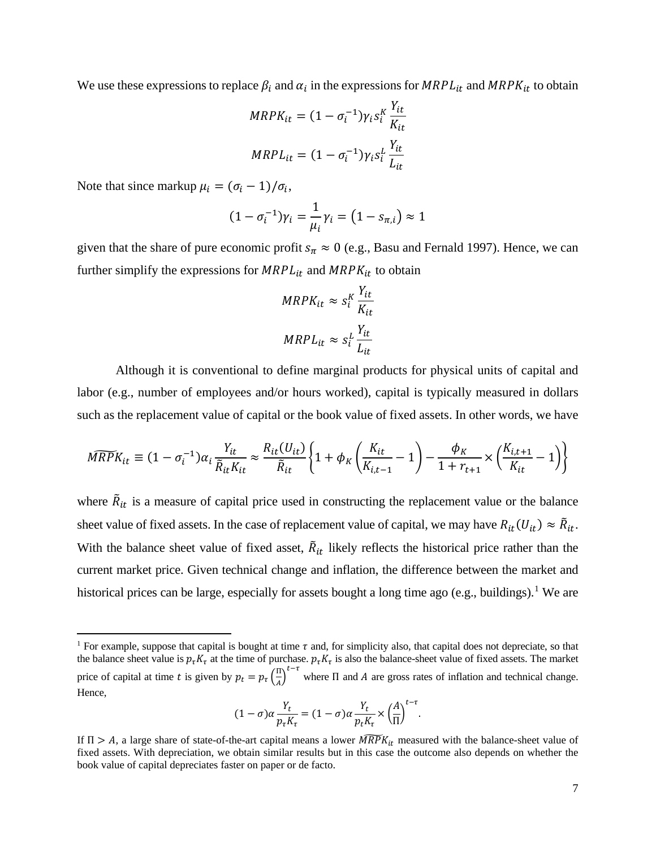We use these expressions to replace  $\beta_i$  and  $\alpha_i$  in the expressions for  $MRPL_{it}$  and  $MRPK_{it}$  to obtain

$$
MRPK_{it} = (1 - \sigma_i^{-1})\gamma_i s_i^K \frac{Y_{it}}{K_{it}}
$$

$$
MRPL_{it} = (1 - \sigma_i^{-1})\gamma_i s_i^L \frac{Y_{it}}{L_{it}}
$$

Note that since markup  $\mu_i = (\sigma_i - 1)/\sigma_i$ ,

 $\overline{\phantom{a}}$ 

$$
(1 - \sigma_i^{-1})\gamma_i = \frac{1}{\mu_i}\gamma_i = (1 - s_{\pi,i}) \approx 1
$$

given that the share of pure economic profit  $s_\pi \approx 0$  (e.g., Basu and Fernald 1997). Hence, we can further simplify the expressions for  $MRPL_{it}$  and  $MRPK_{it}$  to obtain

$$
MRPK_{it} \approx s_i^K \frac{Y_{it}}{K_{it}}
$$

$$
MRPL_{it} \approx s_i^L \frac{Y_{it}}{L_{it}}
$$

Although it is conventional to define marginal products for physical units of capital and labor (e.g., number of employees and/or hours worked), capital is typically measured in dollars such as the replacement value of capital or the book value of fixed assets. In other words, we have

$$
\widehat{MRPK}_{it} \equiv (1 - \sigma_i^{-1}) \alpha_i \frac{Y_{it}}{\tilde{R}_{it} K_{it}} \approx \frac{R_{it}(U_{it})}{\tilde{R}_{it}} \left\{ 1 + \phi_K \left( \frac{K_{it}}{K_{i,t-1}} - 1 \right) - \frac{\phi_K}{1 + r_{t+1}} \times \left( \frac{K_{i,t+1}}{K_{it}} - 1 \right) \right\}
$$

where  $\tilde{R}_{it}$  is a measure of capital price used in constructing the replacement value or the balance sheet value of fixed assets. In the case of replacement value of capital, we may have  $R_{it}(U_{it}) \approx \tilde{R}_{it}$ . With the balance sheet value of fixed asset,  $\tilde{R}_{it}$  likely reflects the historical price rather than the current market price. Given technical change and inflation, the difference between the market and historical prices can be large, especially for assets bought a long time ago (e.g., buildings).<sup>[1](#page-8-0)</sup> We are

$$
(1-\sigma)\alpha \frac{Y_t}{p_{\tau}K_{\tau}} = (1-\sigma)\alpha \frac{Y_t}{p_tK_{\tau}} \times \left(\frac{A}{\Pi}\right)^{t-\tau}.
$$

<span id="page-8-0"></span><sup>&</sup>lt;sup>1</sup> For example, suppose that capital is bought at time  $\tau$  and, for simplicity also, that capital does not depreciate, so that the balance sheet value is  $p_{\tau}K_{\tau}$  at the time of purchase.  $p_{\tau}K_{\tau}$  is also the balance-sheet value of fixed assets. The market price of capital at time t is given by  $p_t = p_\tau \left(\frac{\Pi}{A}\right)$  $\frac{\pi}{A}$ <sup>t-τ</sup> where  $\Pi$  and  $A$  are gross rates of inflation and technical change. Hence,

If  $\Pi > A$ , a large share of state-of-the-art capital means a lower  $\widehat{MRPK}_{it}$  measured with the balance-sheet value of fixed assets. With depreciation, we obtain similar results but in this case the outcome also depends on whether the book value of capital depreciates faster on paper or de facto.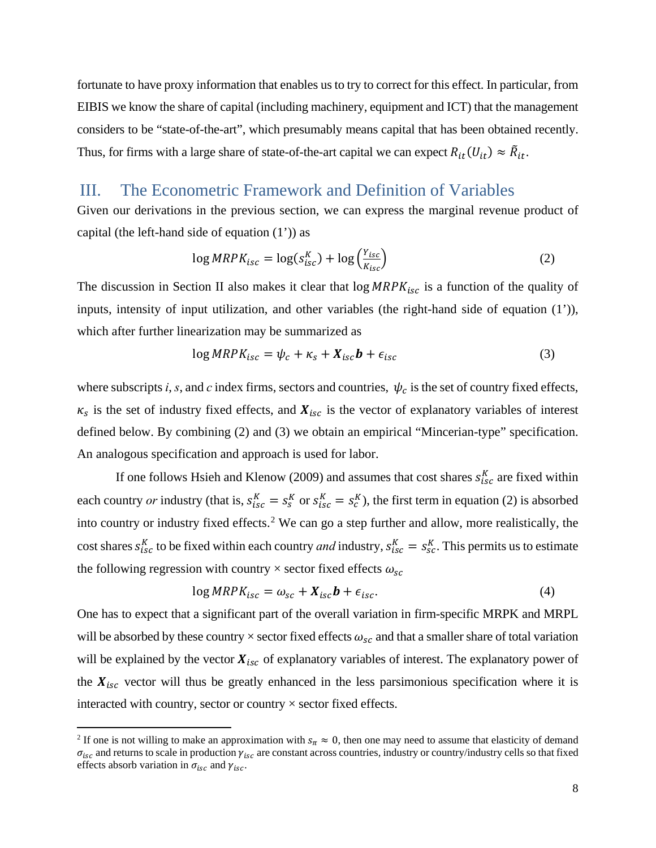fortunate to have proxy information that enables us to try to correct for this effect. In particular, from EIBIS we know the share of capital (including machinery, equipment and ICT) that the management considers to be "state-of-the-art", which presumably means capital that has been obtained recently. Thus, for firms with a large share of state-of-the-art capital we can expect  $R_{it}(U_{it}) \approx \tilde{R}_{it}$ .

## III. The Econometric Framework and Definition of Variables

Given our derivations in the previous section, we can express the marginal revenue product of capital (the left-hand side of equation  $(1')$ ) as

$$
\log MRPK_{isc} = \log(s_{isc}^K) + \log \left(\frac{Y_{isc}}{K_{isc}}\right)
$$
 (2)

The discussion in Section II also makes it clear that  $\log MRPK_{\text{isc}}$  is a function of the quality of inputs, intensity of input utilization, and other variables (the right-hand side of equation (1')), which after further linearization may be summarized as

$$
\log MRPK_{isc} = \psi_c + \kappa_s + X_{isc}b + \epsilon_{isc}
$$
 (3)

where subscripts *i*, *s*, and *c* index firms, sectors and countries,  $\psi_c$  is the set of country fixed effects,  $\kappa_s$  is the set of industry fixed effects, and  $X_{isc}$  is the vector of explanatory variables of interest defined below. By combining (2) and (3) we obtain an empirical "Mincerian-type" specification. An analogous specification and approach is used for labor.

If one follows Hsieh and Klenow (2009) and assumes that cost shares  $s_{\text{isc}}^K$  are fixed within each country *or* industry (that is,  $s_{isc}^K = s_s^K$  or  $s_{isc}^K = s_c^K$ ), the first term in equation (2) is absorbed into country or industry fixed effects.<sup>[2](#page-9-0)</sup> We can go a step further and allow, more realistically, the cost shares  $s_{isc}^{K}$  to be fixed within each country *and* industry,  $s_{isc}^{K} = s_{sc}^{K}$ . This permits us to estimate the following regression with country  $\times$  sector fixed effects  $\omega_{sc}$ 

$$
\log MRPK_{isc} = \omega_{sc} + X_{isc}b + \epsilon_{isc}.
$$
 (4)

One has to expect that a significant part of the overall variation in firm-specific MRPK and MRPL will be absorbed by these country  $\times$  sector fixed effects  $\omega_{sc}$  and that a smaller share of total variation will be explained by the vector  $X_{isc}$  of explanatory variables of interest. The explanatory power of the  $X_{isc}$  vector will thus be greatly enhanced in the less parsimonious specification where it is interacted with country, sector or country  $\times$  sector fixed effects.

l

<span id="page-9-0"></span><sup>&</sup>lt;sup>2</sup> If one is not willing to make an approximation with  $s_\pi \approx 0$ , then one may need to assume that elasticity of demand  $\sigma_{\text{isc}}$  and returns to scale in production  $\gamma_{\text{isc}}$  are constant across countries, industry or country/industry cells so that fixed effects absorb variation in  $\sigma_{isc}$  and  $\gamma_{isc}$ .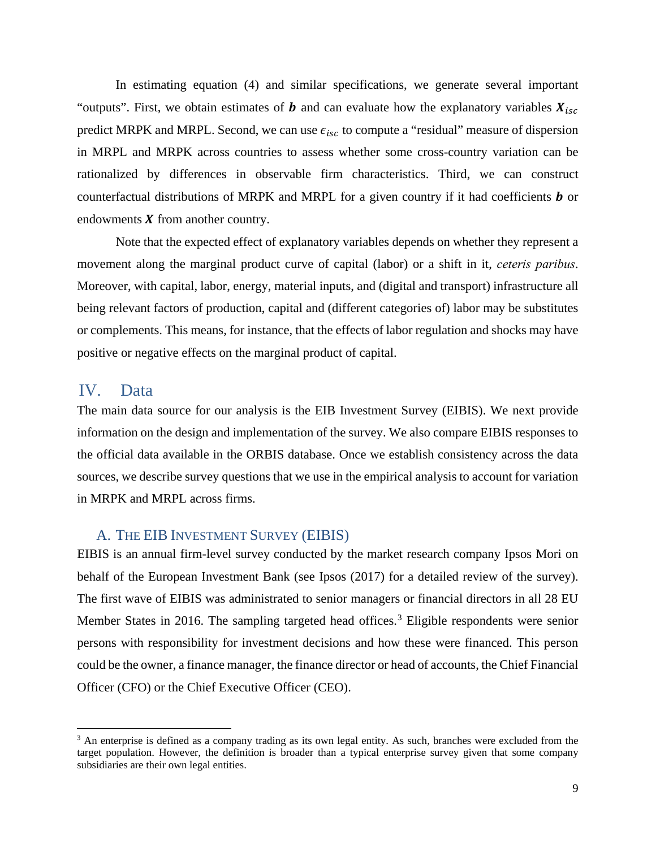In estimating equation (4) and similar specifications, we generate several important "outputs". First, we obtain estimates of **b** and can evaluate how the explanatory variables  $X_{isc}$ predict MRPK and MRPL. Second, we can use  $\epsilon_{isc}$  to compute a "residual" measure of dispersion in MRPL and MRPK across countries to assess whether some cross-country variation can be rationalized by differences in observable firm characteristics. Third, we can construct counterfactual distributions of MRPK and MRPL for a given country if it had coefficients  $\boldsymbol{b}$  or endowments  $\boldsymbol{X}$  from another country.

Note that the expected effect of explanatory variables depends on whether they represent a movement along the marginal product curve of capital (labor) or a shift in it, *ceteris paribus*. Moreover, with capital, labor, energy, material inputs, and (digital and transport) infrastructure all being relevant factors of production, capital and (different categories of) labor may be substitutes or complements. This means, for instance, that the effects of labor regulation and shocks may have positive or negative effects on the marginal product of capital.

## IV. Data

 $\overline{a}$ 

The main data source for our analysis is the EIB Investment Survey (EIBIS). We next provide information on the design and implementation of the survey. We also compare EIBIS responses to the official data available in the ORBIS database. Once we establish consistency across the data sources, we describe survey questions that we use in the empirical analysis to account for variation in MRPK and MRPL across firms.

### A. THE EIB INVESTMENT SURVEY (EIBIS)

EIBIS is an annual firm-level survey conducted by the market research company Ipsos Mori on behalf of the European Investment Bank (see Ipsos (2017) for a detailed review of the survey). The first wave of EIBIS was administrated to senior managers or financial directors in all 28 EU Member States in 2016. The sampling targeted head offices.<sup>[3](#page-10-0)</sup> Eligible respondents were senior persons with responsibility for investment decisions and how these were financed. This person could be the owner, a finance manager, the finance director or head of accounts, the Chief Financial Officer (CFO) or the Chief Executive Officer (CEO).

<span id="page-10-0"></span><sup>&</sup>lt;sup>3</sup> An enterprise is defined as a company trading as its own legal entity. As such, branches were excluded from the target population. However, the definition is broader than a typical enterprise survey given that some company subsidiaries are their own legal entities.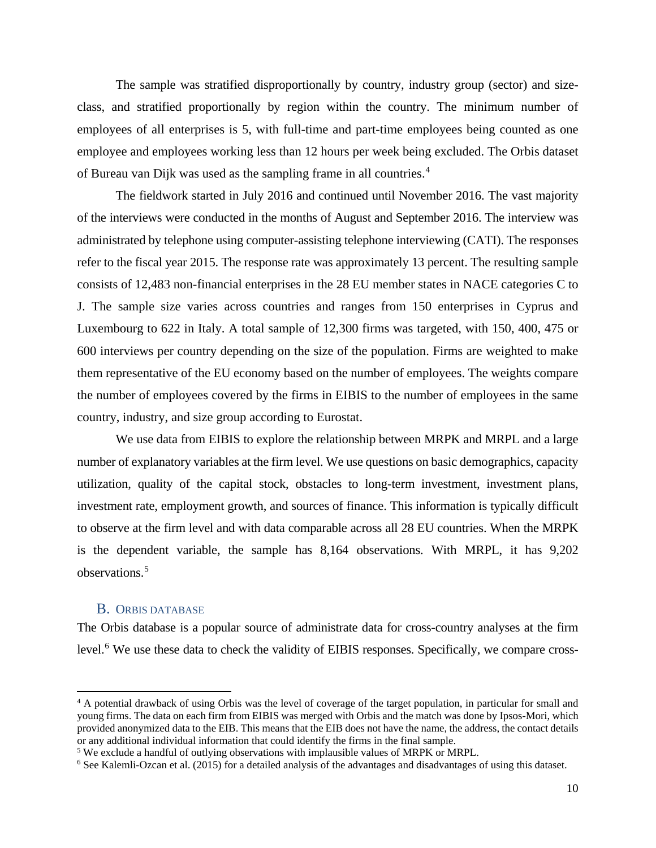The sample was stratified disproportionally by country, industry group (sector) and sizeclass, and stratified proportionally by region within the country. The minimum number of employees of all enterprises is 5, with full-time and part-time employees being counted as one employee and employees working less than 12 hours per week being excluded. The Orbis dataset of Bureau van Dijk was used as the sampling frame in all countries.<sup>[4](#page-11-0)</sup>

The fieldwork started in July 2016 and continued until November 2016. The vast majority of the interviews were conducted in the months of August and September 2016. The interview was administrated by telephone using computer-assisting telephone interviewing (CATI). The responses refer to the fiscal year 2015. The response rate was approximately 13 percent. The resulting sample consists of 12,483 non-financial enterprises in the 28 EU member states in NACE categories C to J. The sample size varies across countries and ranges from 150 enterprises in Cyprus and Luxembourg to 622 in Italy. A total sample of 12,300 firms was targeted, with 150, 400, 475 or 600 interviews per country depending on the size of the population. Firms are weighted to make them representative of the EU economy based on the number of employees. The weights compare the number of employees covered by the firms in EIBIS to the number of employees in the same country, industry, and size group according to Eurostat.

We use data from EIBIS to explore the relationship between MRPK and MRPL and a large number of explanatory variables at the firm level. We use questions on basic demographics, capacity utilization, quality of the capital stock, obstacles to long-term investment, investment plans, investment rate, employment growth, and sources of finance. This information is typically difficult to observe at the firm level and with data comparable across all 28 EU countries. When the MRPK is the dependent variable, the sample has 8,164 observations. With MRPL, it has 9,202 observations.[5](#page-11-1)

### B. ORBIS DATABASE

 $\overline{a}$ 

The Orbis database is a popular source of administrate data for cross-country analyses at the firm level.<sup>[6](#page-11-2)</sup> We use these data to check the validity of EIBIS responses. Specifically, we compare cross-

<span id="page-11-0"></span><sup>&</sup>lt;sup>4</sup> A potential drawback of using Orbis was the level of coverage of the target population, in particular for small and young firms. The data on each firm from EIBIS was merged with Orbis and the match was done by Ipsos-Mori, which provided anonymized data to the EIB. This means that the EIB does not have the name, the address, the contact details or any additional individual information that could identify the firms in the final sample.

<span id="page-11-2"></span><span id="page-11-1"></span><sup>&</sup>lt;sup>5</sup> We exclude a handful of outlying observations with implausible values of MRPK or MRPL.<br><sup>6</sup> See Kalemli-Ozcan et al. (2015) for a detailed analysis of the advantages and disadvantages of using this dataset.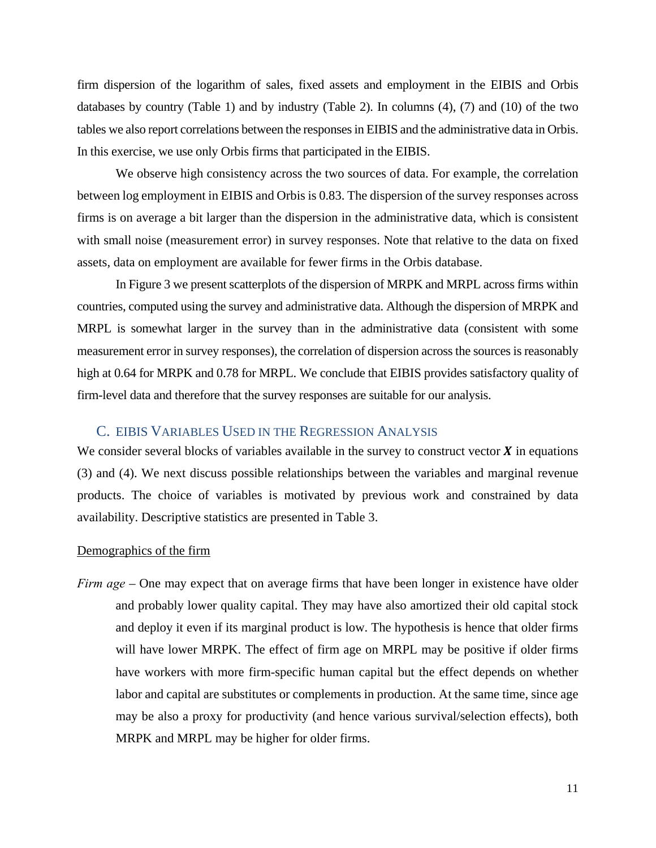firm dispersion of the logarithm of sales, fixed assets and employment in the EIBIS and Orbis databases by country (Table 1) and by industry (Table 2). In columns (4), (7) and (10) of the two tables we also report correlations between the responses in EIBIS and the administrative data in Orbis. In this exercise, we use only Orbis firms that participated in the EIBIS.

We observe high consistency across the two sources of data. For example, the correlation between log employment in EIBIS and Orbis is 0.83. The dispersion of the survey responses across firms is on average a bit larger than the dispersion in the administrative data, which is consistent with small noise (measurement error) in survey responses. Note that relative to the data on fixed assets, data on employment are available for fewer firms in the Orbis database.

In Figure 3 we present scatterplots of the dispersion of MRPK and MRPL across firms within countries, computed using the survey and administrative data. Although the dispersion of MRPK and MRPL is somewhat larger in the survey than in the administrative data (consistent with some measurement error in survey responses), the correlation of dispersion across the sources is reasonably high at 0.64 for MRPK and 0.78 for MRPL. We conclude that EIBIS provides satisfactory quality of firm-level data and therefore that the survey responses are suitable for our analysis.

### C. EIBIS VARIABLES USED IN THE REGRESSION ANALYSIS

We consider several blocks of variables available in the survey to construct vector  $\boldsymbol{X}$  in equations (3) and (4). We next discuss possible relationships between the variables and marginal revenue products. The choice of variables is motivated by previous work and constrained by data availability. Descriptive statistics are presented in Table 3.

#### Demographics of the firm

*Firm age* – One may expect that on average firms that have been longer in existence have older and probably lower quality capital. They may have also amortized their old capital stock and deploy it even if its marginal product is low. The hypothesis is hence that older firms will have lower MRPK. The effect of firm age on MRPL may be positive if older firms have workers with more firm-specific human capital but the effect depends on whether labor and capital are substitutes or complements in production. At the same time, since age may be also a proxy for productivity (and hence various survival/selection effects), both MRPK and MRPL may be higher for older firms.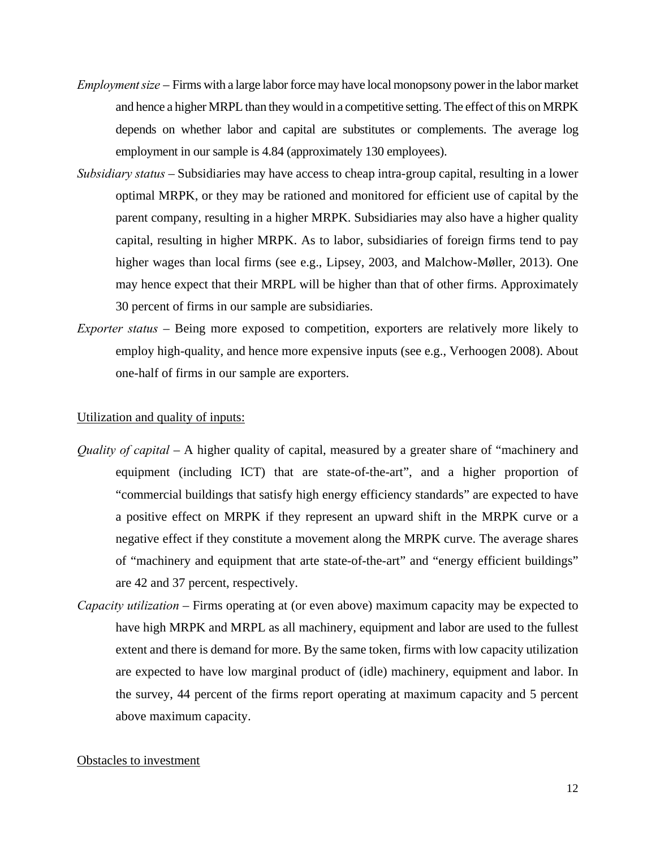- *Employment size* Firms with a large labor force may have local monopsony power in the labor market and hence a higher MRPL than they would in a competitive setting. The effect of this on MRPK depends on whether labor and capital are substitutes or complements. The average log employment in our sample is 4.84 (approximately 130 employees).
- *Subsidiary status* Subsidiaries may have access to cheap intra-group capital, resulting in a lower optimal MRPK, or they may be rationed and monitored for efficient use of capital by the parent company, resulting in a higher MRPK. Subsidiaries may also have a higher quality capital, resulting in higher MRPK. As to labor, subsidiaries of foreign firms tend to pay higher wages than local firms (see e.g., Lipsey, 2003, and Malchow-Møller, 2013). One may hence expect that their MRPL will be higher than that of other firms. Approximately 30 percent of firms in our sample are subsidiaries.
- *Exporter status* Being more exposed to competition, exporters are relatively more likely to employ high-quality, and hence more expensive inputs (see e.g., Verhoogen 2008). About one-half of firms in our sample are exporters.

#### Utilization and quality of inputs:

- *Quality of capital* A higher quality of capital, measured by a greater share of "machinery and equipment (including ICT) that are state-of-the-art", and a higher proportion of "commercial buildings that satisfy high energy efficiency standards" are expected to have a positive effect on MRPK if they represent an upward shift in the MRPK curve or a negative effect if they constitute a movement along the MRPK curve. The average shares of "machinery and equipment that arte state-of-the-art" and "energy efficient buildings" are 42 and 37 percent, respectively.
- *Capacity utilization* Firms operating at (or even above) maximum capacity may be expected to have high MRPK and MRPL as all machinery, equipment and labor are used to the fullest extent and there is demand for more. By the same token, firms with low capacity utilization are expected to have low marginal product of (idle) machinery, equipment and labor. In the survey, 44 percent of the firms report operating at maximum capacity and 5 percent above maximum capacity.

#### Obstacles to investment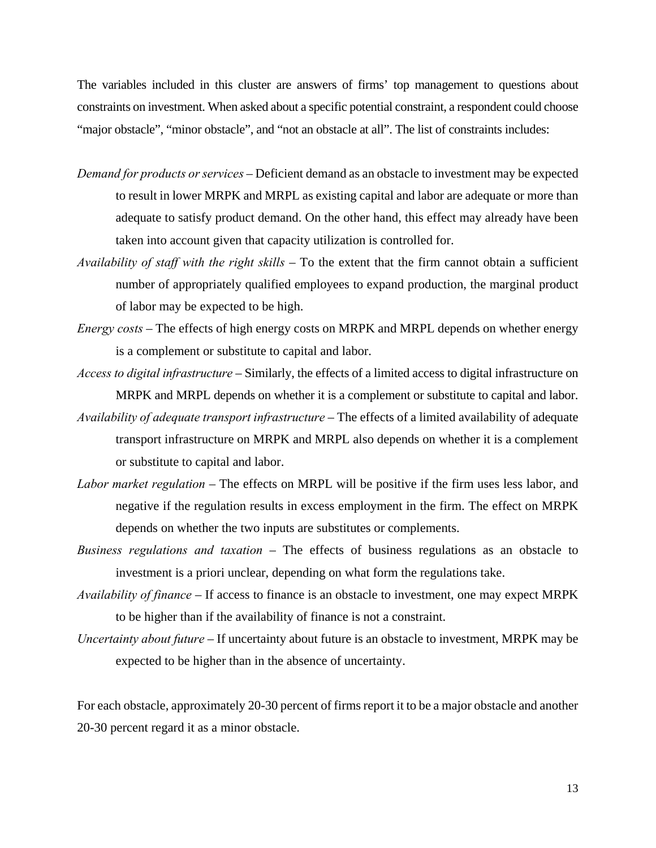The variables included in this cluster are answers of firms' top management to questions about constraints on investment. When asked about a specific potential constraint, a respondent could choose "major obstacle", "minor obstacle", and "not an obstacle at all". The list of constraints includes:

- *Demand for products or services* Deficient demand as an obstacle to investment may be expected to result in lower MRPK and MRPL as existing capital and labor are adequate or more than adequate to satisfy product demand. On the other hand, this effect may already have been taken into account given that capacity utilization is controlled for.
- *Availability of staff with the right skills* To the extent that the firm cannot obtain a sufficient number of appropriately qualified employees to expand production, the marginal product of labor may be expected to be high.
- *Energy costs* The effects of high energy costs on MRPK and MRPL depends on whether energy is a complement or substitute to capital and labor.
- *Access to digital infrastructure* Similarly, the effects of a limited access to digital infrastructure on MRPK and MRPL depends on whether it is a complement or substitute to capital and labor.
- *Availability of adequate transport infrastructure* The effects of a limited availability of adequate transport infrastructure on MRPK and MRPL also depends on whether it is a complement or substitute to capital and labor.
- *Labor market regulation* The effects on MRPL will be positive if the firm uses less labor, and negative if the regulation results in excess employment in the firm. The effect on MRPK depends on whether the two inputs are substitutes or complements.
- *Business regulations and taxation* The effects of business regulations as an obstacle to investment is a priori unclear, depending on what form the regulations take.
- *Availability of finance* If access to finance is an obstacle to investment, one may expect MRPK to be higher than if the availability of finance is not a constraint.
- *Uncertainty about future* If uncertainty about future is an obstacle to investment, MRPK may be expected to be higher than in the absence of uncertainty.

For each obstacle, approximately 20-30 percent of firms report it to be a major obstacle and another 20-30 percent regard it as a minor obstacle.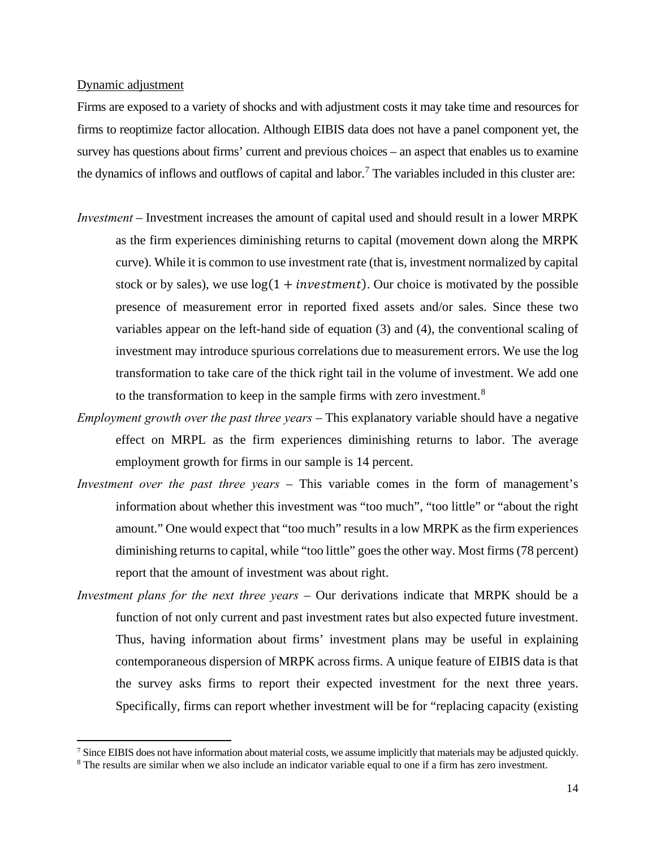#### Dynamic adjustment

 $\overline{\phantom{a}}$ 

Firms are exposed to a variety of shocks and with adjustment costs it may take time and resources for firms to reoptimize factor allocation. Although EIBIS data does not have a panel component yet, the survey has questions about firms' current and previous choices – an aspect that enables us to examine the dynamics of inflows and outflows of capital and labor.<sup>[7](#page-15-0)</sup> The variables included in this cluster are:

- *Investment*  Investment increases the amount of capital used and should result in a lower MRPK as the firm experiences diminishing returns to capital (movement down along the MRPK curve). While it is common to use investment rate (that is, investment normalized by capital stock or by sales), we use  $log(1 + investment)$ . Our choice is motivated by the possible presence of measurement error in reported fixed assets and/or sales. Since these two variables appear on the left-hand side of equation (3) and (4), the conventional scaling of investment may introduce spurious correlations due to measurement errors. We use the log transformation to take care of the thick right tail in the volume of investment. We add one to the transformation to keep in the sample firms with zero investment. $8$
- *Employment growth over the past three years* This explanatory variable should have a negative effect on MRPL as the firm experiences diminishing returns to labor. The average employment growth for firms in our sample is 14 percent.
- *Investment over the past three years* This variable comes in the form of management's information about whether this investment was "too much", "too little" or "about the right amount." One would expect that "too much" results in a low MRPK as the firm experiences diminishing returns to capital, while "too little" goes the other way. Most firms (78 percent) report that the amount of investment was about right.
- *Investment plans for the next three years*  Our derivations indicate that MRPK should be a function of not only current and past investment rates but also expected future investment. Thus, having information about firms' investment plans may be useful in explaining contemporaneous dispersion of MRPK across firms. A unique feature of EIBIS data is that the survey asks firms to report their expected investment for the next three years. Specifically, firms can report whether investment will be for "replacing capacity (existing

<span id="page-15-1"></span><span id="page-15-0"></span> $\frac{7}{8}$  Since EIBIS does not have information about material costs, we assume implicitly that materials may be adjusted quickly.  $\frac{8}{8}$  The results are similar when we also include an indicator variable equal to one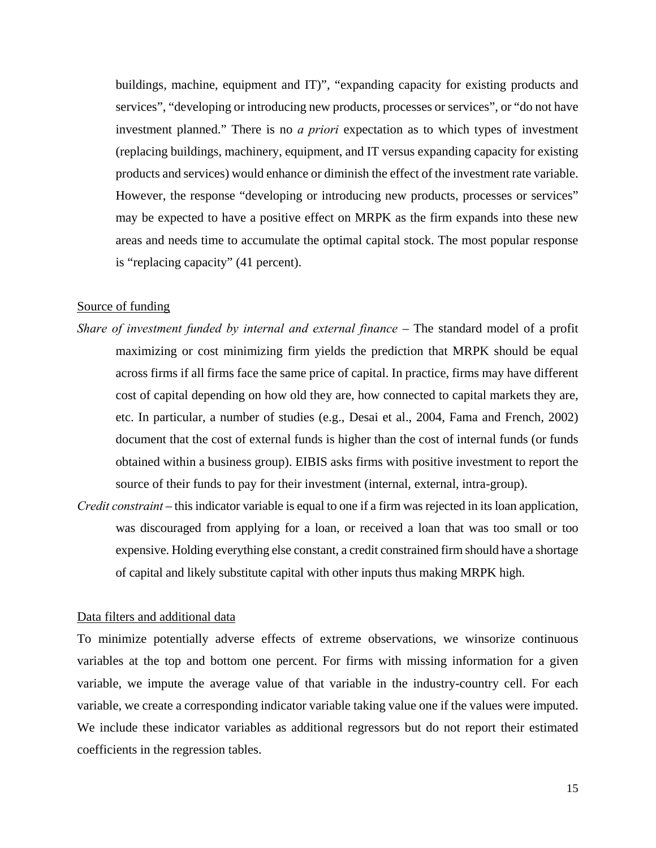buildings, machine, equipment and IT)", "expanding capacity for existing products and services", "developing or introducing new products, processes or services", or "do not have investment planned." There is no *a priori* expectation as to which types of investment (replacing buildings, machinery, equipment, and IT versus expanding capacity for existing products and services) would enhance or diminish the effect of the investment rate variable. However, the response "developing or introducing new products, processes or services" may be expected to have a positive effect on MRPK as the firm expands into these new areas and needs time to accumulate the optimal capital stock. The most popular response is "replacing capacity" (41 percent).

### Source of funding

- *Share of investment funded by internal and external finance* The standard model of a profit maximizing or cost minimizing firm yields the prediction that MRPK should be equal across firms if all firms face the same price of capital. In practice, firms may have different cost of capital depending on how old they are, how connected to capital markets they are, etc. In particular, a number of studies (e.g., Desai et al., 2004, Fama and French, 2002) document that the cost of external funds is higher than the cost of internal funds (or funds obtained within a business group). EIBIS asks firms with positive investment to report the source of their funds to pay for their investment (internal, external, intra-group).
- *Credit constraint* this indicator variable is equal to one if a firm was rejected in its loan application, was discouraged from applying for a loan, or received a loan that was too small or too expensive. Holding everything else constant, a credit constrained firm should have a shortage of capital and likely substitute capital with other inputs thus making MRPK high.

#### Data filters and additional data

To minimize potentially adverse effects of extreme observations, we winsorize continuous variables at the top and bottom one percent. For firms with missing information for a given variable, we impute the average value of that variable in the industry-country cell. For each variable, we create a corresponding indicator variable taking value one if the values were imputed. We include these indicator variables as additional regressors but do not report their estimated coefficients in the regression tables.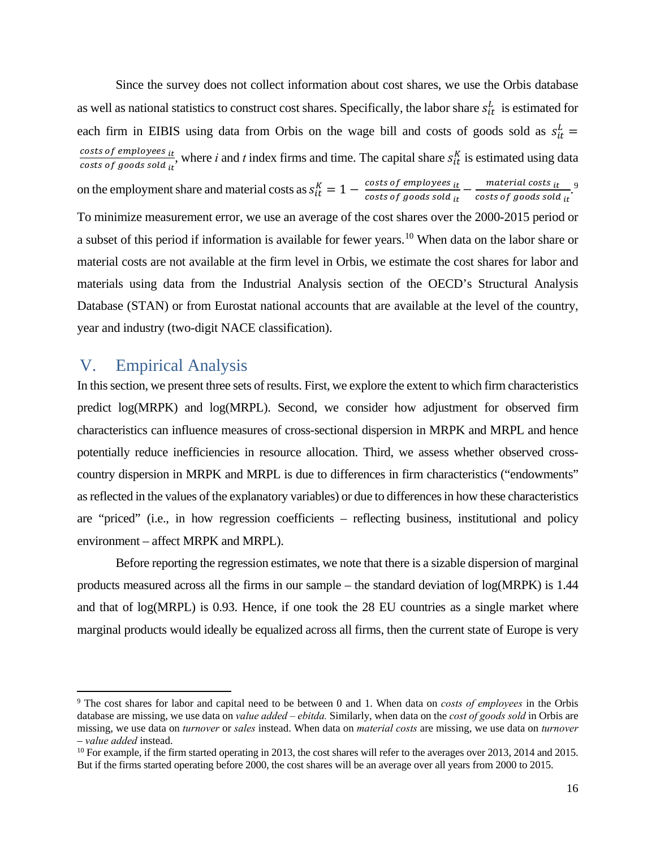Since the survey does not collect information about cost shares, we use the Orbis database as well as national statistics to construct cost shares. Specifically, the labor share  $s_{it}^L$  is estimated for each firm in EIBIS using data from Orbis on the wage bill and costs of goods sold as  $s_{it}^L$  = osts of employees <sub>it</sub>  $\frac{1}{s}$  osts of *goods sold* it, where *i* and *t* index firms and time. The capital share  $s_{it}^K$  is estimated using data osts of *goods sold* it on the employment share and material costs as  $s_{it}^K = 1 - \frac{\text{costs of employees}_{it}}{\text{costs of goods sold}_{it}} - \frac{\text{material costs}_{it}}{\text{costs of goods sold}_{it}}$ . [9](#page-17-0) To minimize measurement error, we use an average of the cost shares over the 2000-2015 period or a subset of this period if information is available for fewer years.<sup>[10](#page-17-1)</sup> When data on the labor share or material costs are not available at the firm level in Orbis, we estimate the cost shares for labor and materials using data from the Industrial Analysis section of the OECD's Structural Analysis Database (STAN) or from Eurostat national accounts that are available at the level of the country, year and industry (two-digit NACE classification).

## V. Empirical Analysis

 $\overline{a}$ 

In this section, we present three sets of results. First, we explore the extent to which firm characteristics predict log(MRPK) and log(MRPL). Second, we consider how adjustment for observed firm characteristics can influence measures of cross-sectional dispersion in MRPK and MRPL and hence potentially reduce inefficiencies in resource allocation. Third, we assess whether observed crosscountry dispersion in MRPK and MRPL is due to differences in firm characteristics ("endowments" as reflected in the values of the explanatory variables) or due to differences in how these characteristics are "priced" (i.e., in how regression coefficients – reflecting business, institutional and policy environment – affect MRPK and MRPL).

Before reporting the regression estimates, we note that there is a sizable dispersion of marginal products measured across all the firms in our sample – the standard deviation of log(MRPK) is 1.44 and that of log(MRPL) is 0.93. Hence, if one took the 28 EU countries as a single market where marginal products would ideally be equalized across all firms, then the current state of Europe is very

<span id="page-17-0"></span><sup>9</sup> The cost shares for labor and capital need to be between 0 and 1. When data on *costs of employees* in the Orbis database are missing, we use data on *value added – ebitda.* Similarly, when data on the *cost of goods sold* in Orbis are missing, we use data on *turnover* or *sales* instead. When data on *material costs* are missing, we use data on *turnover* – *value added* instead. 10 For example, if the firm started operating in 2013, the cost shares will refer to the averages over 2013, 2014 and 2015.

<span id="page-17-1"></span>But if the firms started operating before 2000, the cost shares will be an average over all years from 2000 to 2015.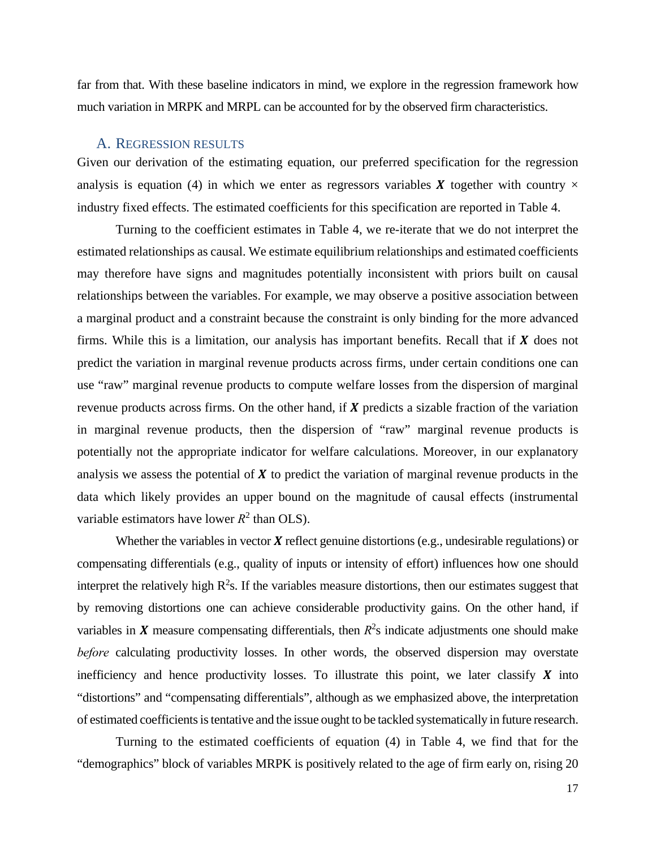far from that. With these baseline indicators in mind, we explore in the regression framework how much variation in MRPK and MRPL can be accounted for by the observed firm characteristics.

#### A. REGRESSION RESULTS

Given our derivation of the estimating equation, our preferred specification for the regression analysis is equation (4) in which we enter as regressors variables **X** together with country  $\times$ industry fixed effects. The estimated coefficients for this specification are reported in Table 4.

Turning to the coefficient estimates in Table 4, we re-iterate that we do not interpret the estimated relationships as causal. We estimate equilibrium relationships and estimated coefficients may therefore have signs and magnitudes potentially inconsistent with priors built on causal relationships between the variables. For example, we may observe a positive association between a marginal product and a constraint because the constraint is only binding for the more advanced firms. While this is a limitation, our analysis has important benefits. Recall that if  $\bm{X}$  does not predict the variation in marginal revenue products across firms, under certain conditions one can use "raw" marginal revenue products to compute welfare losses from the dispersion of marginal revenue products across firms. On the other hand, if  $X$  predicts a sizable fraction of the variation in marginal revenue products, then the dispersion of "raw" marginal revenue products is potentially not the appropriate indicator for welfare calculations. Moreover, in our explanatory analysis we assess the potential of  $\boldsymbol{X}$  to predict the variation of marginal revenue products in the data which likely provides an upper bound on the magnitude of causal effects (instrumental variable estimators have lower  $R^2$  than OLS).

Whether the variables in vector  $X$  reflect genuine distortions (e.g., undesirable regulations) or compensating differentials (e.g., quality of inputs or intensity of effort) influences how one should interpret the relatively high  $R^2$ s. If the variables measure distortions, then our estimates suggest that by removing distortions one can achieve considerable productivity gains. On the other hand, if variables in  $X$  measure compensating differentials, then  $R^2$ s indicate adjustments one should make *before* calculating productivity losses. In other words, the observed dispersion may overstate inefficiency and hence productivity losses. To illustrate this point, we later classify  $\boldsymbol{X}$  into "distortions" and "compensating differentials", although as we emphasized above, the interpretation of estimated coefficients is tentative and the issue ought to be tackled systematically in future research.

Turning to the estimated coefficients of equation (4) in Table 4, we find that for the "demographics" block of variables MRPK is positively related to the age of firm early on, rising 20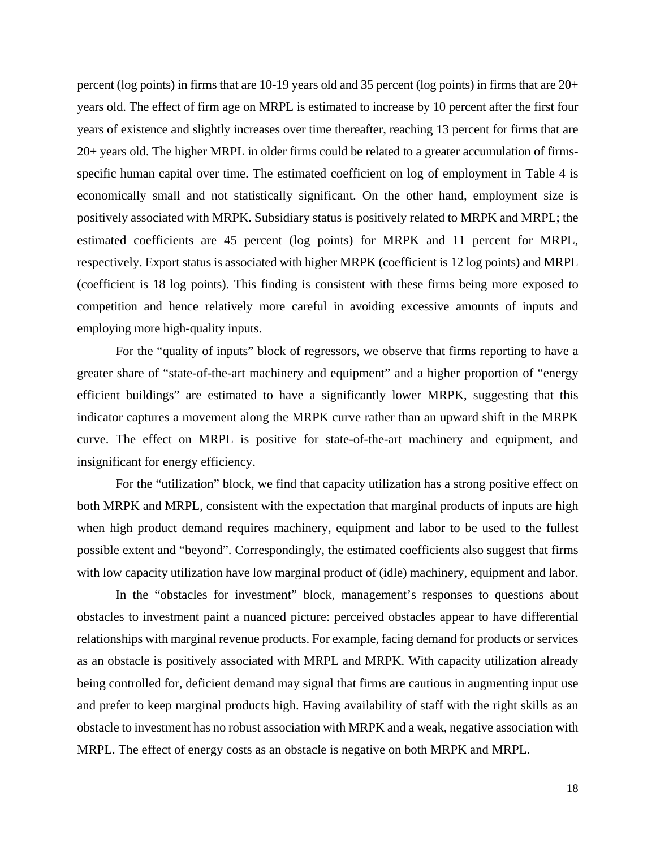percent (log points) in firms that are 10-19 years old and 35 percent (log points) in firms that are 20+ years old. The effect of firm age on MRPL is estimated to increase by 10 percent after the first four years of existence and slightly increases over time thereafter, reaching 13 percent for firms that are 20+ years old. The higher MRPL in older firms could be related to a greater accumulation of firmsspecific human capital over time. The estimated coefficient on log of employment in Table 4 is economically small and not statistically significant. On the other hand, employment size is positively associated with MRPK. Subsidiary status is positively related to MRPK and MRPL; the estimated coefficients are 45 percent (log points) for MRPK and 11 percent for MRPL, respectively. Export status is associated with higher MRPK (coefficient is 12 log points) and MRPL (coefficient is 18 log points). This finding is consistent with these firms being more exposed to competition and hence relatively more careful in avoiding excessive amounts of inputs and employing more high-quality inputs.

For the "quality of inputs" block of regressors, we observe that firms reporting to have a greater share of "state-of-the-art machinery and equipment" and a higher proportion of "energy efficient buildings" are estimated to have a significantly lower MRPK, suggesting that this indicator captures a movement along the MRPK curve rather than an upward shift in the MRPK curve. The effect on MRPL is positive for state-of-the-art machinery and equipment, and insignificant for energy efficiency.

For the "utilization" block, we find that capacity utilization has a strong positive effect on both MRPK and MRPL, consistent with the expectation that marginal products of inputs are high when high product demand requires machinery, equipment and labor to be used to the fullest possible extent and "beyond". Correspondingly, the estimated coefficients also suggest that firms with low capacity utilization have low marginal product of (idle) machinery, equipment and labor.

In the "obstacles for investment" block, management's responses to questions about obstacles to investment paint a nuanced picture: perceived obstacles appear to have differential relationships with marginal revenue products. For example, facing demand for products or services as an obstacle is positively associated with MRPL and MRPK. With capacity utilization already being controlled for, deficient demand may signal that firms are cautious in augmenting input use and prefer to keep marginal products high. Having availability of staff with the right skills as an obstacle to investment has no robust association with MRPK and a weak, negative association with MRPL. The effect of energy costs as an obstacle is negative on both MRPK and MRPL.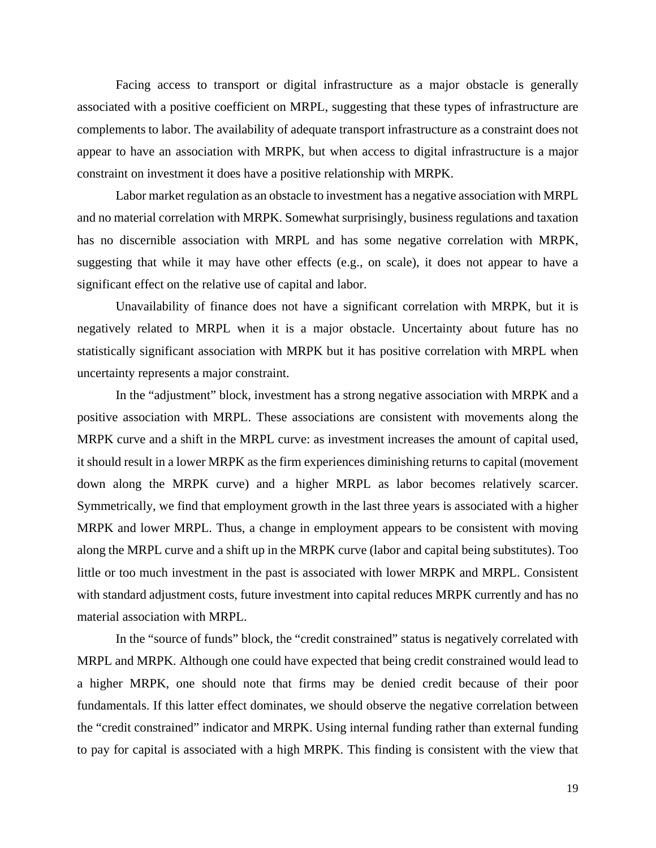Facing access to transport or digital infrastructure as a major obstacle is generally associated with a positive coefficient on MRPL, suggesting that these types of infrastructure are complements to labor. The availability of adequate transport infrastructure as a constraint does not appear to have an association with MRPK, but when access to digital infrastructure is a major constraint on investment it does have a positive relationship with MRPK.

Labor market regulation as an obstacle to investment has a negative association with MRPL and no material correlation with MRPK. Somewhat surprisingly, business regulations and taxation has no discernible association with MRPL and has some negative correlation with MRPK, suggesting that while it may have other effects (e.g., on scale), it does not appear to have a significant effect on the relative use of capital and labor.

Unavailability of finance does not have a significant correlation with MRPK, but it is negatively related to MRPL when it is a major obstacle. Uncertainty about future has no statistically significant association with MRPK but it has positive correlation with MRPL when uncertainty represents a major constraint.

In the "adjustment" block, investment has a strong negative association with MRPK and a positive association with MRPL. These associations are consistent with movements along the MRPK curve and a shift in the MRPL curve: as investment increases the amount of capital used, it should result in a lower MRPK as the firm experiences diminishing returns to capital (movement down along the MRPK curve) and a higher MRPL as labor becomes relatively scarcer. Symmetrically, we find that employment growth in the last three years is associated with a higher MRPK and lower MRPL. Thus, a change in employment appears to be consistent with moving along the MRPL curve and a shift up in the MRPK curve (labor and capital being substitutes). Too little or too much investment in the past is associated with lower MRPK and MRPL. Consistent with standard adjustment costs, future investment into capital reduces MRPK currently and has no material association with MRPL.

In the "source of funds" block, the "credit constrained" status is negatively correlated with MRPL and MRPK. Although one could have expected that being credit constrained would lead to a higher MRPK, one should note that firms may be denied credit because of their poor fundamentals. If this latter effect dominates, we should observe the negative correlation between the "credit constrained" indicator and MRPK. Using internal funding rather than external funding to pay for capital is associated with a high MRPK. This finding is consistent with the view that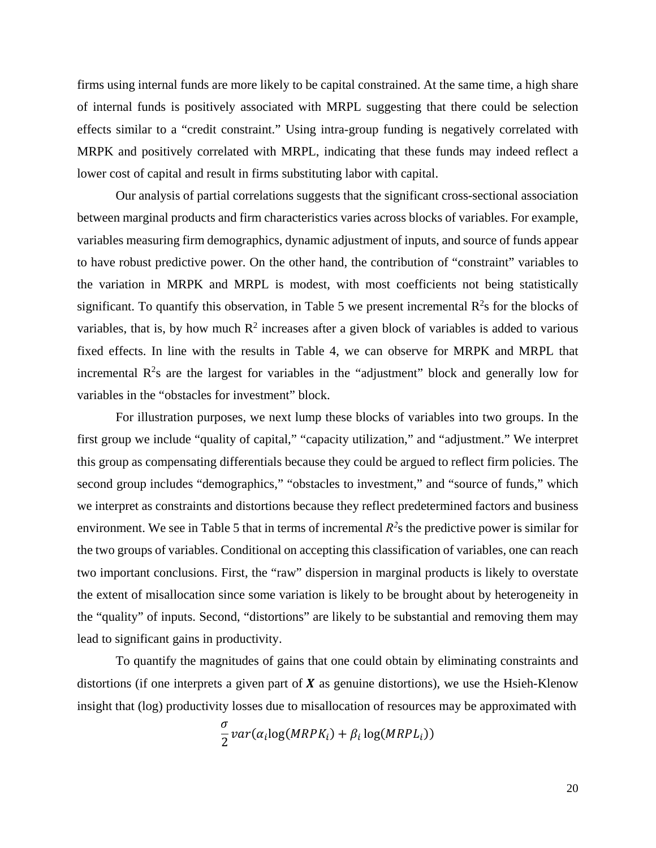firms using internal funds are more likely to be capital constrained. At the same time, a high share of internal funds is positively associated with MRPL suggesting that there could be selection effects similar to a "credit constraint." Using intra-group funding is negatively correlated with MRPK and positively correlated with MRPL, indicating that these funds may indeed reflect a lower cost of capital and result in firms substituting labor with capital.

Our analysis of partial correlations suggests that the significant cross-sectional association between marginal products and firm characteristics varies across blocks of variables. For example, variables measuring firm demographics, dynamic adjustment of inputs, and source of funds appear to have robust predictive power. On the other hand, the contribution of "constraint" variables to the variation in MRPK and MRPL is modest, with most coefficients not being statistically significant. To quantify this observation, in Table 5 we present incremental  $\mathbb{R}^2$ s for the blocks of variables, that is, by how much  $R^2$  increases after a given block of variables is added to various fixed effects. In line with the results in Table 4, we can observe for MRPK and MRPL that incremental  $\mathbb{R}^2$ s are the largest for variables in the "adjustment" block and generally low for variables in the "obstacles for investment" block.

For illustration purposes, we next lump these blocks of variables into two groups. In the first group we include "quality of capital," "capacity utilization," and "adjustment." We interpret this group as compensating differentials because they could be argued to reflect firm policies. The second group includes "demographics," "obstacles to investment," and "source of funds," which we interpret as constraints and distortions because they reflect predetermined factors and business environment. We see in Table 5 that in terms of incremental  $R<sup>2</sup>$ s the predictive power is similar for the two groups of variables. Conditional on accepting this classification of variables, one can reach two important conclusions. First, the "raw" dispersion in marginal products is likely to overstate the extent of misallocation since some variation is likely to be brought about by heterogeneity in the "quality" of inputs. Second, "distortions" are likely to be substantial and removing them may lead to significant gains in productivity.

To quantify the magnitudes of gains that one could obtain by eliminating constraints and distortions (if one interprets a given part of  $X$  as genuine distortions), we use the Hsieh-Klenow insight that (log) productivity losses due to misallocation of resources may be approximated with

$$
\frac{\sigma}{2}var(\alpha_i \log(MRPK_i) + \beta_i \log(MRPL_i))
$$

20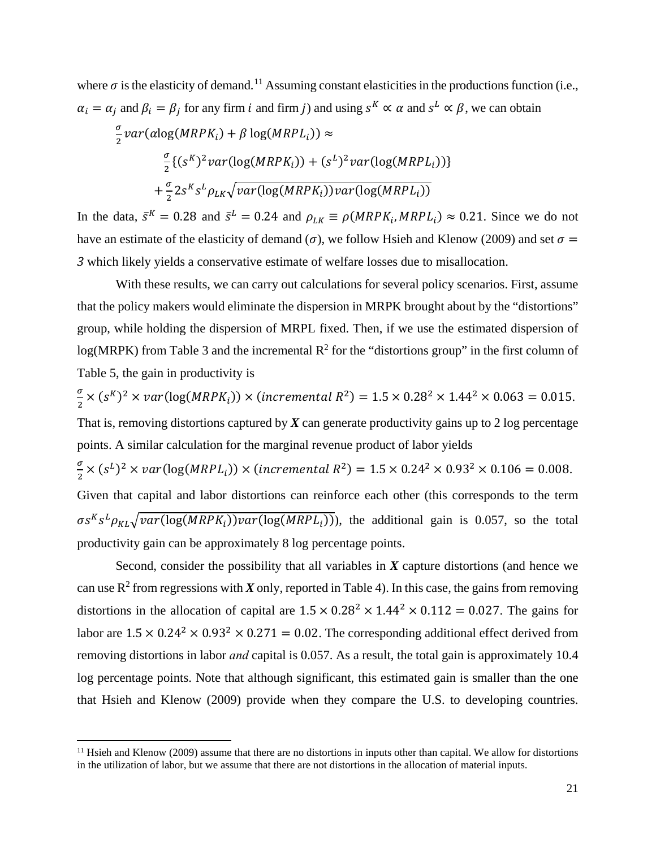where  $\sigma$  is the elasticity of demand.<sup>[11](#page-22-0)</sup> Assuming constant elasticities in the productions function (i.e.,  $\alpha_i = \alpha_i$  and  $\beta_i = \beta_i$  for any firm *i* and firm *j*) and using  $s^k \propto \alpha$  and  $s^k \propto \beta$ , we can obtain

$$
\frac{\sigma}{2}var( \alpha \log(MRPK_i) + \beta \log(MRPL_i) ) \approx
$$
\n
$$
\frac{\sigma}{2} \{ (s^K)^2 var(\log(MRPK_i)) + (s^L)^2 var(\log(MRPL_i)) \}
$$
\n
$$
+ \frac{\sigma}{2} 2s^K s^L \rho_{LK} \sqrt{var(\log(MRPK_i)) var(\log(MRPL_i))}
$$

In the data,  $\bar{s}^K = 0.28$  and  $\bar{s}^L = 0.24$  and  $\rho_{LK} \equiv \rho(MRPK_i, MRPL_i) \approx 0.21$ . Since we do not have an estimate of the elasticity of demand ( $\sigma$ ), we follow Hsieh and Klenow (2009) and set  $\sigma$  = *3* which likely yields a conservative estimate of welfare losses due to misallocation.

With these results, we can carry out calculations for several policy scenarios. First, assume that the policy makers would eliminate the dispersion in MRPK brought about by the "distortions" group, while holding the dispersion of MRPL fixed. Then, if we use the estimated dispersion of  $log(MRPK)$  from Table 3 and the incremental  $R^2$  for the "distortions group" in the first column of Table 5, the gain in productivity is

 $\sigma$  $\frac{1}{2} \times (s^R)^2 \times \text{var}(\log(MRPK_i)) \times (\text{incremental } R^2) = 1.5 \times 0.28^2 \times 1.44^2 \times 0.063 = 0.015.$ That is, removing distortions captured by  $X$  can generate productivity gains up to 2 log percentage

points. A similar calculation for the marginal revenue product of labor yields

 $\sigma$  $\frac{1}{2} \times (s^L)^2 \times \text{var}(\log(MRPL_i)) \times (\text{incremental } R^2) = 1.5 \times 0.24^2 \times 0.93^2 \times 0.106 = 0.008.$ Given that capital and labor distortions can reinforce each other (this corresponds to the term  $\sigma s^{K} s^{L} \rho_{KL} \sqrt{\text{var}(\log(MRPK_i)) \text{var}(\log(MRPL_i))}$ , the additional gain is 0.057, so the total

productivity gain can be approximately 8 log percentage points.

 $\overline{\phantom{a}}$ 

 Second, consider the possibility that all variables in *X* capture distortions (and hence we can use  $R^2$  from regressions with *X* only, reported in Table 4). In this case, the gains from removing distortions in the allocation of capital are  $1.5 \times 0.28^2 \times 1.44^2 \times 0.112 = 0.027$ . The gains for labor are  $1.5 \times 0.24^2 \times 0.93^2 \times 0.271 = 0.02$ . The corresponding additional effect derived from removing distortions in labor *and* capital is 0.057. As a result, the total gain is approximately 10.4 log percentage points. Note that although significant, this estimated gain is smaller than the one that Hsieh and Klenow (2009) provide when they compare the U.S. to developing countries.

<span id="page-22-0"></span><sup>&</sup>lt;sup>11</sup> Hsieh and Klenow (2009) assume that there are no distortions in inputs other than capital. We allow for distortions in the utilization of labor, but we assume that there are not distortions in the allocation of material inputs.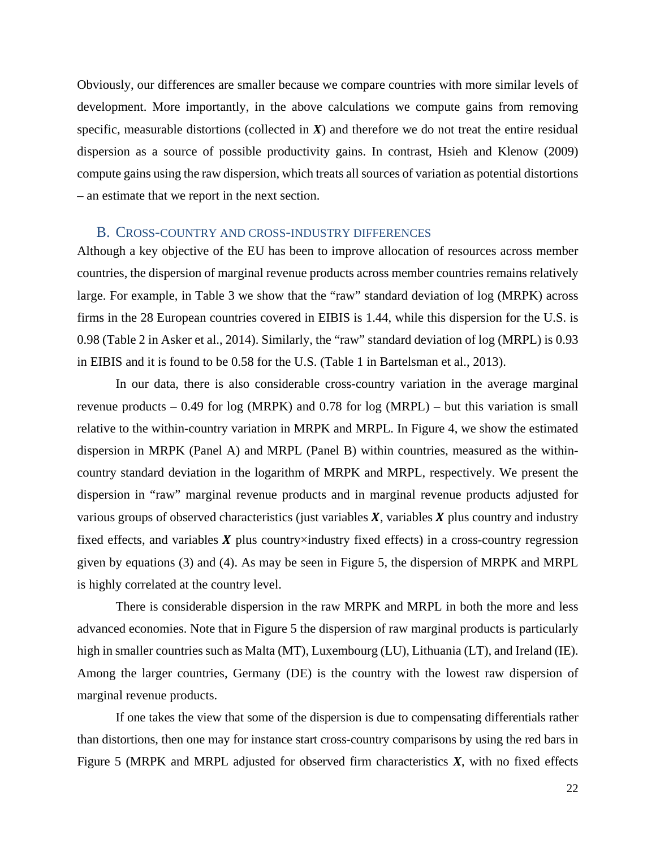Obviously, our differences are smaller because we compare countries with more similar levels of development. More importantly, in the above calculations we compute gains from removing specific, measurable distortions (collected in  $X$ ) and therefore we do not treat the entire residual dispersion as a source of possible productivity gains. In contrast, Hsieh and Klenow (2009) compute gains using the raw dispersion, which treats all sources of variation as potential distortions – an estimate that we report in the next section.

#### B. CROSS-COUNTRY AND CROSS-INDUSTRY DIFFERENCES

Although a key objective of the EU has been to improve allocation of resources across member countries, the dispersion of marginal revenue products across member countries remains relatively large. For example, in Table 3 we show that the "raw" standard deviation of log (MRPK) across firms in the 28 European countries covered in EIBIS is 1.44, while this dispersion for the U.S. is 0.98 (Table 2 in Asker et al., 2014). Similarly, the "raw" standard deviation of log (MRPL) is 0.93 in EIBIS and it is found to be 0.58 for the U.S. (Table 1 in Bartelsman et al., 2013).

In our data, there is also considerable cross-country variation in the average marginal revenue products – 0.49 for log (MRPK) and 0.78 for log (MRPL) – but this variation is small relative to the within-country variation in MRPK and MRPL. In Figure 4, we show the estimated dispersion in MRPK (Panel A) and MRPL (Panel B) within countries, measured as the withincountry standard deviation in the logarithm of MRPK and MRPL, respectively. We present the dispersion in "raw" marginal revenue products and in marginal revenue products adjusted for various groups of observed characteristics (just variables  $X$ , variables  $X$  plus country and industry fixed effects, and variables  $\boldsymbol{X}$  plus country×industry fixed effects) in a cross-country regression given by equations (3) and (4). As may be seen in Figure 5, the dispersion of MRPK and MRPL is highly correlated at the country level.

There is considerable dispersion in the raw MRPK and MRPL in both the more and less advanced economies. Note that in Figure 5 the dispersion of raw marginal products is particularly high in smaller countries such as Malta (MT), Luxembourg (LU), Lithuania (LT), and Ireland (IE). Among the larger countries, Germany (DE) is the country with the lowest raw dispersion of marginal revenue products.

If one takes the view that some of the dispersion is due to compensating differentials rather than distortions, then one may for instance start cross-country comparisons by using the red bars in Figure 5 (MRPK and MRPL adjusted for observed firm characteristics *X*, with no fixed effects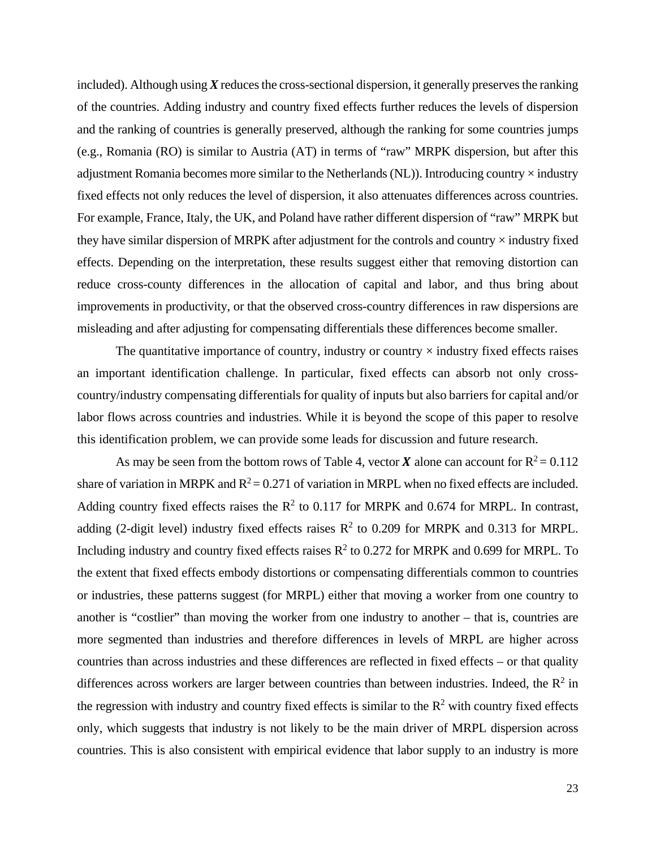included). Although using *X* reduces the cross-sectional dispersion, it generally preserves the ranking of the countries. Adding industry and country fixed effects further reduces the levels of dispersion and the ranking of countries is generally preserved, although the ranking for some countries jumps (e.g., Romania (RO) is similar to Austria (AT) in terms of "raw" MRPK dispersion, but after this adjustment Romania becomes more similar to the Netherlands (NL)). Introducing country  $\times$  industry fixed effects not only reduces the level of dispersion, it also attenuates differences across countries. For example, France, Italy, the UK, and Poland have rather different dispersion of "raw" MRPK but they have similar dispersion of MRPK after adjustment for the controls and country  $\times$  industry fixed effects. Depending on the interpretation, these results suggest either that removing distortion can reduce cross-county differences in the allocation of capital and labor, and thus bring about improvements in productivity, or that the observed cross-country differences in raw dispersions are misleading and after adjusting for compensating differentials these differences become smaller.

The quantitative importance of country, industry or country  $\times$  industry fixed effects raises an important identification challenge. In particular, fixed effects can absorb not only crosscountry/industry compensating differentials for quality of inputs but also barriers for capital and/or labor flows across countries and industries. While it is beyond the scope of this paper to resolve this identification problem, we can provide some leads for discussion and future research.

As may be seen from the bottom rows of Table 4, vector **X** alone can account for  $R^2 = 0.112$ share of variation in MRPK and  $R^2 = 0.271$  of variation in MRPL when no fixed effects are included. Adding country fixed effects raises the  $R^2$  to 0.117 for MRPK and 0.674 for MRPL. In contrast, adding (2-digit level) industry fixed effects raises  $R^2$  to 0.209 for MRPK and 0.313 for MRPL. Including industry and country fixed effects raises  $R^2$  to 0.272 for MRPK and 0.699 for MRPL. To the extent that fixed effects embody distortions or compensating differentials common to countries or industries, these patterns suggest (for MRPL) either that moving a worker from one country to another is "costlier" than moving the worker from one industry to another – that is, countries are more segmented than industries and therefore differences in levels of MRPL are higher across countries than across industries and these differences are reflected in fixed effects – or that quality differences across workers are larger between countries than between industries. Indeed, the  $\mathbb{R}^2$  in the regression with industry and country fixed effects is similar to the  $R<sup>2</sup>$  with country fixed effects only, which suggests that industry is not likely to be the main driver of MRPL dispersion across countries. This is also consistent with empirical evidence that labor supply to an industry is more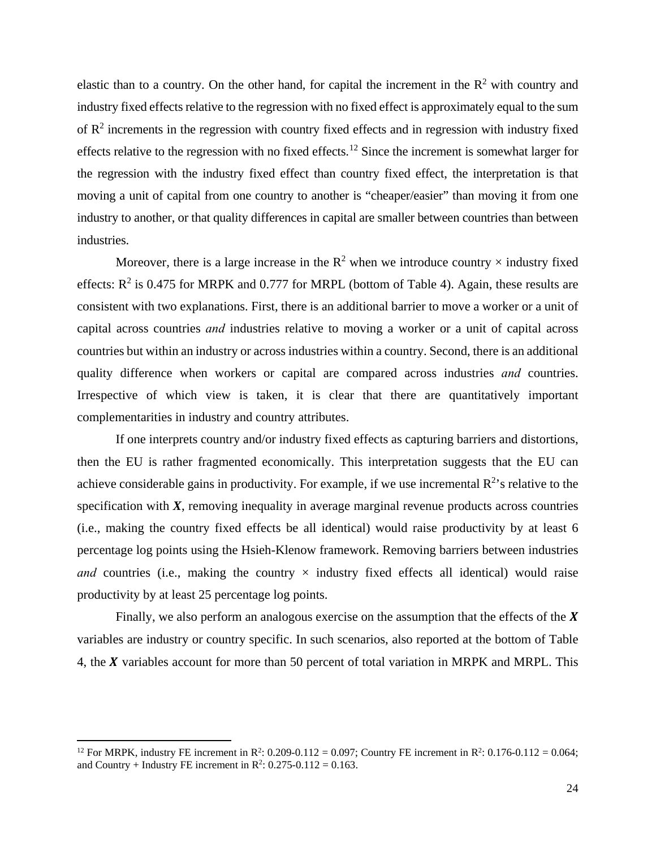elastic than to a country. On the other hand, for capital the increment in the  $R<sup>2</sup>$  with country and industry fixed effects relative to the regression with no fixed effect is approximately equal to the sum of  $\mathbb{R}^2$  increments in the regression with country fixed effects and in regression with industry fixed effects relative to the regression with no fixed effects.[12](#page-25-0) Since the increment is somewhat larger for the regression with the industry fixed effect than country fixed effect, the interpretation is that moving a unit of capital from one country to another is "cheaper/easier" than moving it from one industry to another, or that quality differences in capital are smaller between countries than between industries.

Moreover, there is a large increase in the  $\mathbb{R}^2$  when we introduce country  $\times$  industry fixed effects:  $R^2$  is 0.475 for MRPK and 0.777 for MRPL (bottom of Table 4). Again, these results are consistent with two explanations. First, there is an additional barrier to move a worker or a unit of capital across countries *and* industries relative to moving a worker or a unit of capital across countries but within an industry or across industries within a country. Second, there is an additional quality difference when workers or capital are compared across industries *and* countries. Irrespective of which view is taken, it is clear that there are quantitatively important complementarities in industry and country attributes.

If one interprets country and/or industry fixed effects as capturing barriers and distortions, then the EU is rather fragmented economically. This interpretation suggests that the EU can achieve considerable gains in productivity. For example, if we use incremental  $\mathbb{R}^2$ 's relative to the specification with  $X$ , removing inequality in average marginal revenue products across countries (i.e., making the country fixed effects be all identical) would raise productivity by at least 6 percentage log points using the Hsieh-Klenow framework. Removing barriers between industries *and* countries (i.e., making the country  $\times$  industry fixed effects all identical) would raise productivity by at least 25 percentage log points.

Finally, we also perform an analogous exercise on the assumption that the effects of the  $X$ variables are industry or country specific. In such scenarios, also reported at the bottom of Table 4, the  $X$  variables account for more than 50 percent of total variation in MRPK and MRPL. This

 $\overline{\phantom{a}}$ 

<span id="page-25-0"></span><sup>&</sup>lt;sup>12</sup> For MRPK, industry FE increment in R<sup>2</sup>: 0.209-0.112 = 0.097; Country FE increment in R<sup>2</sup>: 0.176-0.112 = 0.064; and Country + Industry FE increment in  $\mathbb{R}^2$ : 0.275-0.112 = 0.163.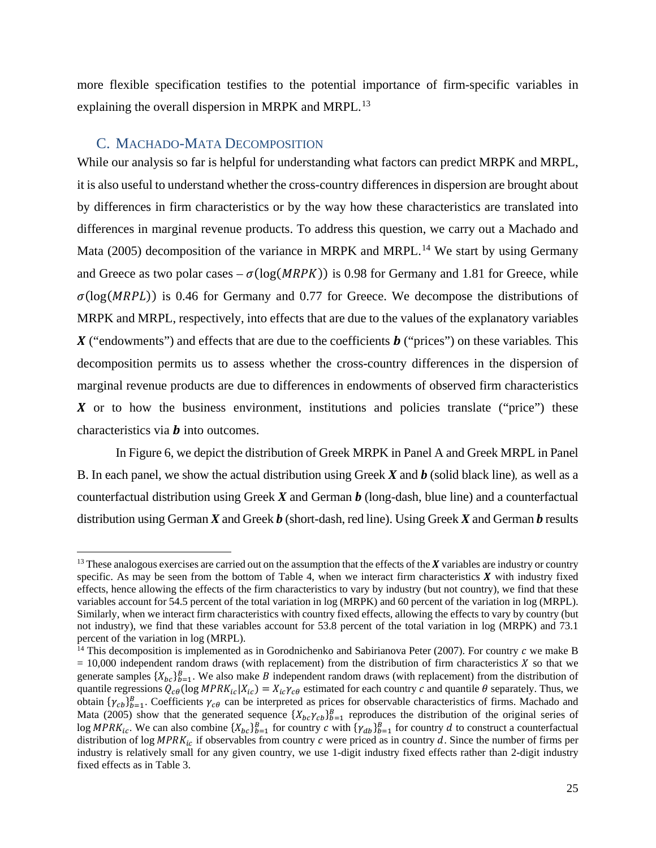more flexible specification testifies to the potential importance of firm-specific variables in explaining the overall dispersion in MRPK and MRPL.<sup>13</sup>

### C. MACHADO-MATA DECOMPOSITION

 $\overline{a}$ 

While our analysis so far is helpful for understanding what factors can predict MRPK and MRPL, it is also useful to understand whether the cross-country differences in dispersion are brought about by differences in firm characteristics or by the way how these characteristics are translated into differences in marginal revenue products. To address this question, we carry out a Machado and Mata (2005) decomposition of the variance in MRPK and MRPL.<sup>[14](#page-26-1)</sup> We start by using Germany and Greece as two polar cases –  $\sigma(\log(MRPK))$  is 0.98 for Germany and 1.81 for Greece, while  $\sigma(\log(MRPL))$  is 0.46 for Germany and 0.77 for Greece. We decompose the distributions of MRPK and MRPL, respectively, into effects that are due to the values of the explanatory variables ("endowments") and effects that are due to the coefficients ("prices") on these variables*.* This decomposition permits us to assess whether the cross-country differences in the dispersion of marginal revenue products are due to differences in endowments of observed firm characteristics  $\boldsymbol{X}$  or to how the business environment, institutions and policies translate ("price") these characteristics via  $\boldsymbol{b}$  into outcomes.

In Figure 6, we depict the distribution of Greek MRPK in Panel A and Greek MRPL in Panel B. In each panel, we show the actual distribution using Greek *X* and *b* (solid black line)*,* as well as a counterfactual distribution using Greek *X* and German *b* (long-dash, blue line) and a counterfactual distribution using German *X* and Greek *b* (short-dash, red line). Using Greek *X* and German *b* results

<span id="page-26-0"></span><sup>&</sup>lt;sup>13</sup> These analogous exercises are carried out on the assumption that the effects of the  $X$  variables are industry or country specific. As may be seen from the bottom of Table 4, when we interact firm characteristics  $\bm{X}$  with industry fixed effects, hence allowing the effects of the firm characteristics to vary by industry (but not country), we find that these variables account for 54.5 percent of the total variation in log (MRPK) and 60 percent of the variation in log (MRPL). Similarly, when we interact firm characteristics with country fixed effects, allowing the effects to vary by country (but not industry), we find that these variables account for 53.8 percent of the total variation in log (MRPK) and 73.1 percent of the variation in log (MRPL).

<span id="page-26-1"></span><sup>&</sup>lt;sup>14</sup> This decomposition is implemented as in Gorodnichenko and Sabirianova Peter (2007). For country  $c$  we make B  $= 10,000$  independent random draws (with replacement) from the distribution of firm characteristics  $\chi$  so that we generate samples  $\{X_{bc}\}_{b=1}^B$ . We also make *B* independent random draws (with replacement) from the distribution of quantile regressions  $Q_{c\theta}$  (log  $MPRK_{ic}|X_{ic}) = X_{ic}\gamma_{c\theta}$  estimated for each country c and quantile  $\theta$  separately. Thus, we obtain  ${\gamma_{cb}}_{b=1}^B$ . Coefficients  ${\gamma_{c\theta}}$  can be interpreted as prices for observable characteristics of firms. Machado and Mata (2005) show that the generated sequence  $\{X_{bc}\gamma_{cb}\}_{b=1}^B$  reproduces the distribution of the original series of  $\log MPRK_{ic}$ . We can also combine  $\{X_{bc}\}_{b=1}^B$  for country c with  $\{\gamma_{db}\}_{b=1}^B$  for country d to construct a counterfactual distribution of log  $MPRK_{ic}$  if observables from country c were priced as in country d. Since the number of firms per industry is relatively small for any given country, we use 1-digit industry fixed effects rather than 2-digit industry fixed effects as in Table 3.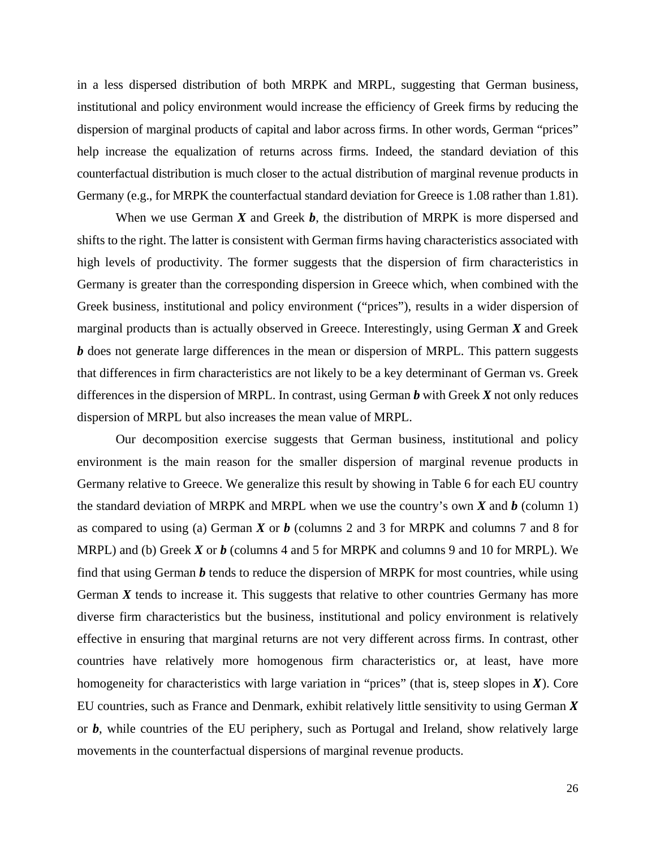in a less dispersed distribution of both MRPK and MRPL, suggesting that German business, institutional and policy environment would increase the efficiency of Greek firms by reducing the dispersion of marginal products of capital and labor across firms. In other words, German "prices" help increase the equalization of returns across firms. Indeed, the standard deviation of this counterfactual distribution is much closer to the actual distribution of marginal revenue products in Germany (e.g., for MRPK the counterfactual standard deviation for Greece is 1.08 rather than 1.81).

When we use German *X* and Greek *b*, the distribution of MRPK is more dispersed and shifts to the right. The latter is consistent with German firms having characteristics associated with high levels of productivity. The former suggests that the dispersion of firm characteristics in Germany is greater than the corresponding dispersion in Greece which, when combined with the Greek business, institutional and policy environment ("prices"), results in a wider dispersion of marginal products than is actually observed in Greece. Interestingly, using German *X* and Greek *b* does not generate large differences in the mean or dispersion of MRPL. This pattern suggests that differences in firm characteristics are not likely to be a key determinant of German vs. Greek differences in the dispersion of MRPL. In contrast, using German *b* with Greek *X* not only reduces dispersion of MRPL but also increases the mean value of MRPL.

Our decomposition exercise suggests that German business, institutional and policy environment is the main reason for the smaller dispersion of marginal revenue products in Germany relative to Greece. We generalize this result by showing in Table 6 for each EU country the standard deviation of MRPK and MRPL when we use the country's own  $\vec{X}$  and  $\vec{b}$  (column 1) as compared to using (a) German *X* or *b* (columns 2 and 3 for MRPK and columns 7 and 8 for MRPL) and (b) Greek *X* or *b* (columns 4 and 5 for MRPK and columns 9 and 10 for MRPL). We find that using German *b* tends to reduce the dispersion of MRPK for most countries, while using German  $X$  tends to increase it. This suggests that relative to other countries Germany has more diverse firm characteristics but the business, institutional and policy environment is relatively effective in ensuring that marginal returns are not very different across firms. In contrast, other countries have relatively more homogenous firm characteristics or, at least, have more homogeneity for characteristics with large variation in "prices" (that is, steep slopes in  $X$ ). Core EU countries, such as France and Denmark, exhibit relatively little sensitivity to using German  $X$ or *b*, while countries of the EU periphery, such as Portugal and Ireland, show relatively large movements in the counterfactual dispersions of marginal revenue products.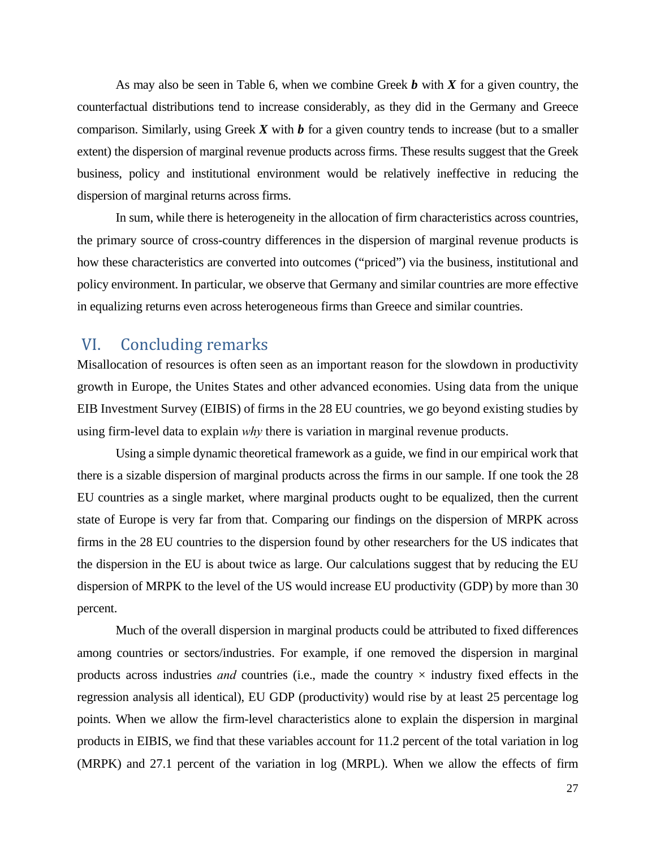As may also be seen in Table 6, when we combine Greek *b* with *X* for a given country, the counterfactual distributions tend to increase considerably, as they did in the Germany and Greece comparison. Similarly, using Greek *X* with *b* for a given country tends to increase (but to a smaller extent) the dispersion of marginal revenue products across firms. These results suggest that the Greek business, policy and institutional environment would be relatively ineffective in reducing the dispersion of marginal returns across firms.

In sum, while there is heterogeneity in the allocation of firm characteristics across countries, the primary source of cross-country differences in the dispersion of marginal revenue products is how these characteristics are converted into outcomes ("priced") via the business, institutional and policy environment. In particular, we observe that Germany and similar countries are more effective in equalizing returns even across heterogeneous firms than Greece and similar countries.

## VI. Concluding remarks

Misallocation of resources is often seen as an important reason for the slowdown in productivity growth in Europe, the Unites States and other advanced economies. Using data from the unique EIB Investment Survey (EIBIS) of firms in the 28 EU countries, we go beyond existing studies by using firm-level data to explain *why* there is variation in marginal revenue products.

Using a simple dynamic theoretical framework as a guide, we find in our empirical work that there is a sizable dispersion of marginal products across the firms in our sample. If one took the 28 EU countries as a single market, where marginal products ought to be equalized, then the current state of Europe is very far from that. Comparing our findings on the dispersion of MRPK across firms in the 28 EU countries to the dispersion found by other researchers for the US indicates that the dispersion in the EU is about twice as large. Our calculations suggest that by reducing the EU dispersion of MRPK to the level of the US would increase EU productivity (GDP) by more than 30 percent.

Much of the overall dispersion in marginal products could be attributed to fixed differences among countries or sectors/industries. For example, if one removed the dispersion in marginal products across industries *and* countries (i.e., made the country  $\times$  industry fixed effects in the regression analysis all identical), EU GDP (productivity) would rise by at least 25 percentage log points. When we allow the firm-level characteristics alone to explain the dispersion in marginal products in EIBIS, we find that these variables account for 11.2 percent of the total variation in log (MRPK) and 27.1 percent of the variation in log (MRPL). When we allow the effects of firm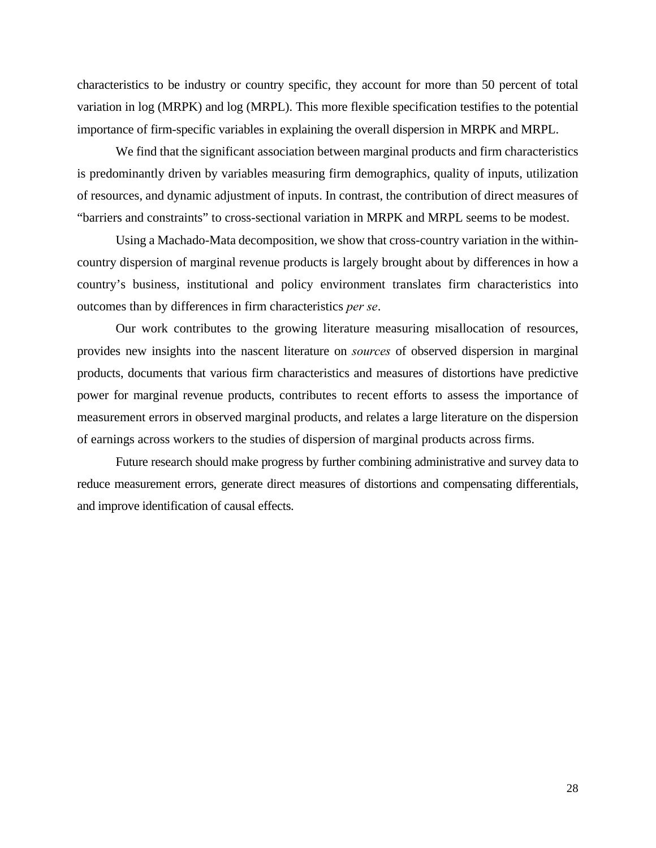characteristics to be industry or country specific, they account for more than 50 percent of total variation in log (MRPK) and log (MRPL). This more flexible specification testifies to the potential importance of firm-specific variables in explaining the overall dispersion in MRPK and MRPL.

We find that the significant association between marginal products and firm characteristics is predominantly driven by variables measuring firm demographics, quality of inputs, utilization of resources, and dynamic adjustment of inputs. In contrast, the contribution of direct measures of "barriers and constraints" to cross-sectional variation in MRPK and MRPL seems to be modest.

Using a Machado-Mata decomposition, we show that cross-country variation in the withincountry dispersion of marginal revenue products is largely brought about by differences in how a country's business, institutional and policy environment translates firm characteristics into outcomes than by differences in firm characteristics *per se*.

Our work contributes to the growing literature measuring misallocation of resources, provides new insights into the nascent literature on *sources* of observed dispersion in marginal products, documents that various firm characteristics and measures of distortions have predictive power for marginal revenue products, contributes to recent efforts to assess the importance of measurement errors in observed marginal products, and relates a large literature on the dispersion of earnings across workers to the studies of dispersion of marginal products across firms.

Future research should make progress by further combining administrative and survey data to reduce measurement errors, generate direct measures of distortions and compensating differentials, and improve identification of causal effects.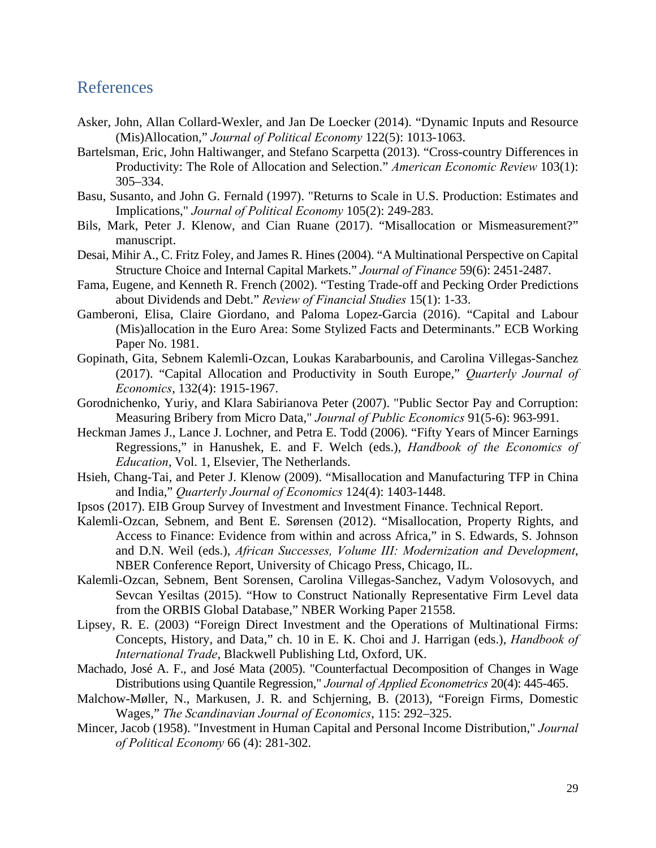## References

- Asker, John, Allan Collard-Wexler, and Jan De Loecker (2014). "Dynamic Inputs and Resource (Mis)Allocation," *Journal of Political Economy* 122(5): 1013-1063.
- Bartelsman, Eric, John Haltiwanger, and Stefano Scarpetta (2013). "Cross-country Differences in Productivity: The Role of Allocation and Selection." *American Economic Review* 103(1): 305–334.
- Basu, Susanto, and John G. Fernald (1997). "Returns to Scale in U.S. Production: Estimates and Implications," *Journal of Political Economy* 105(2): 249-283.
- Bils, Mark, Peter J. Klenow, and Cian Ruane (2017). "Misallocation or Mismeasurement?" manuscript.
- Desai, Mihir A., C. Fritz Foley, and James R. Hines (2004). "A Multinational Perspective on Capital Structure Choice and Internal Capital Markets." *Journal of Finance* 59(6): 2451-2487.
- Fama, Eugene, and Kenneth R. French (2002). "Testing Trade-off and Pecking Order Predictions about Dividends and Debt." *Review of Financial Studies* 15(1): 1-33.
- Gamberoni, Elisa, Claire Giordano, and Paloma Lopez-Garcia (2016). "Capital and Labour (Mis)allocation in the Euro Area: Some Stylized Facts and Determinants." ECB Working Paper No. 1981.
- Gopinath, Gita, Sebnem Kalemli-Ozcan, Loukas Karabarbounis, and Carolina Villegas-Sanchez (2017). "Capital Allocation and Productivity in South Europe," *Quarterly Journal of Economics*, 132(4): 1915-1967.
- Gorodnichenko, Yuriy, and Klara Sabirianova Peter (2007). "Public Sector Pay and Corruption: Measuring Bribery from Micro Data," *Journal of Public Economics* 91(5-6): 963-991.
- Heckman James J., Lance J. Lochner, and Petra E. Todd (2006). "Fifty Years of Mincer Earnings Regressions," in Hanushek, E. and F. Welch (eds.), *Handbook of the Economics of Education*, Vol. 1, Elsevier, The Netherlands.
- Hsieh, Chang-Tai, and Peter J. Klenow (2009). "Misallocation and Manufacturing TFP in China and India," *Quarterly Journal of Economics* 124(4): 1403-1448.
- Ipsos (2017). EIB Group Survey of Investment and Investment Finance. Technical Report.
- Kalemli-Ozcan, Sebnem, and Bent E. Sørensen (2012). "Misallocation, Property Rights, and Access to Finance: Evidence from within and across Africa," in S. Edwards, S. Johnson and D.N. Weil (eds.), *African Successes, Volume III: Modernization and Development*, NBER Conference Report, University of Chicago Press, Chicago, IL.
- Kalemli-Ozcan, Sebnem, Bent Sorensen, Carolina Villegas-Sanchez, Vadym Volosovych, and Sevcan Yesiltas (2015). "How to Construct Nationally Representative Firm Level data from the ORBIS Global Database," NBER Working Paper 21558.
- Lipsey, R. E. (2003) "Foreign Direct Investment and the Operations of Multinational Firms: Concepts, History, and Data," ch. 10 in E. K. Choi and J. Harrigan (eds.), *Handbook of International Trade*, Blackwell Publishing Ltd, Oxford, UK.
- Machado, José A. F., and José Mata (2005). "Counterfactual Decomposition of Changes in Wage Distributions using Quantile Regression," *Journal of Applied Econometrics* 20(4): 445-465.
- Malchow-Møller, N., Markusen, J. R. and Schjerning, B. (2013), "Foreign Firms, Domestic Wages," *The Scandinavian Journal of Economics*, 115: 292–325.
- Mincer, Jacob (1958). "Investment in Human Capital and Personal Income Distribution," *Journal of Political Economy* 66 (4): 281-302.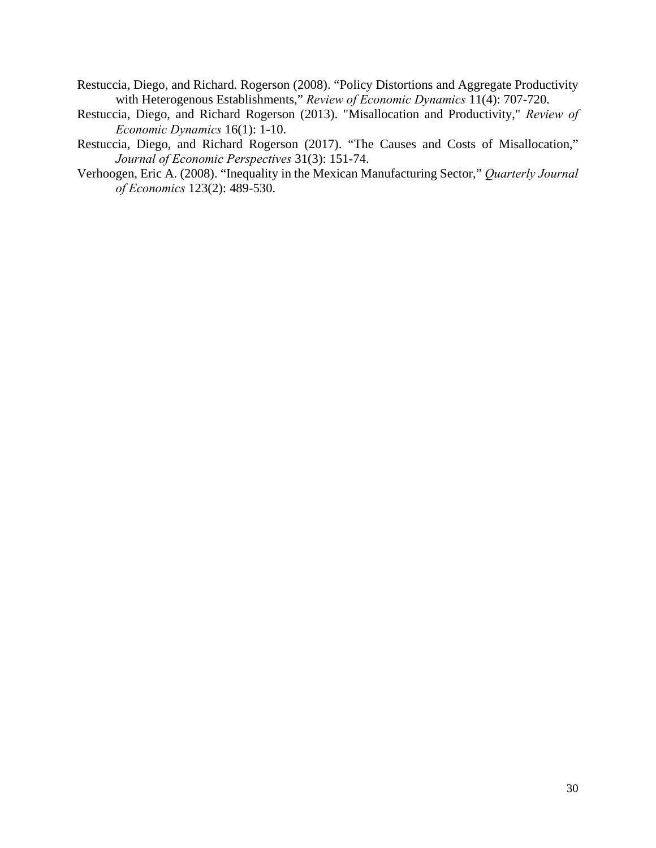- Restuccia, Diego, and Richard. Rogerson (2008). "Policy Distortions and Aggregate Productivity with Heterogenous Establishments," *Review of Economic Dynamics* 11(4): 707-720.
- Restuccia, Diego, and Richard Rogerson (2013). "Misallocation and Productivity," *Review of Economic Dynamics* 16(1): 1-10.
- Restuccia, Diego, and Richard Rogerson (2017). "The Causes and Costs of Misallocation," *Journal of Economic Perspectives* 31(3): 151-74.
- Verhoogen, Eric A. (2008). "Inequality in the Mexican Manufacturing Sector," *Quarterly Journal of Economics* 123(2): 489-530.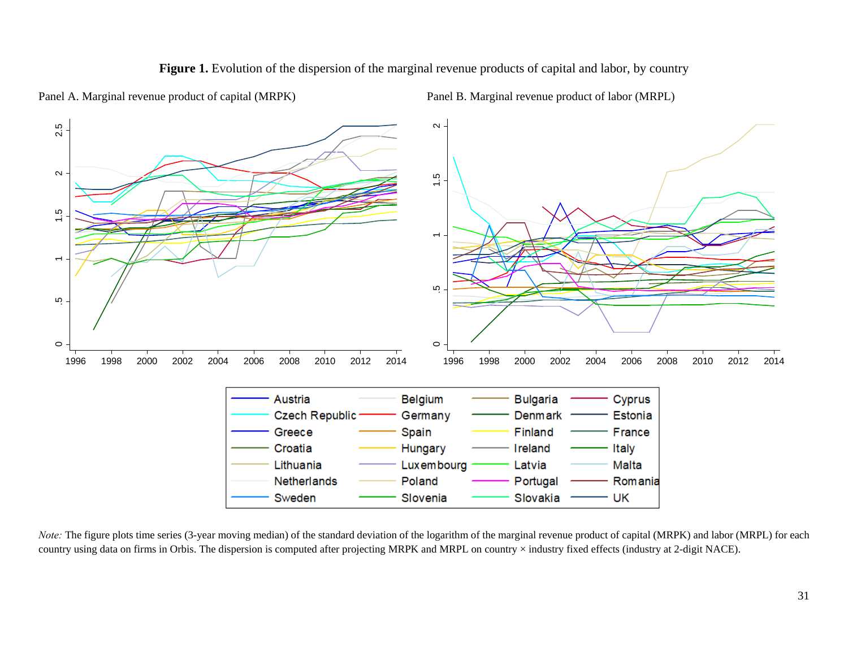

Figure 1. Evolution of the dispersion of the marginal revenue products of capital and labor, by country

Panel A. Marginal revenue product of capital (MRPK) Panel B. Marginal revenue product of labor (MRPL)

*Note*: The figure plots time series (3-year moving median) of the standard deviation of the logarithm of the marginal revenue product of capital (MRPK) and labor (MRPL) for each country using data on firms in Orbis. The dispersion is computed after projecting MRPK and MRPL on country × industry fixed effects (industry at 2-digit NACE).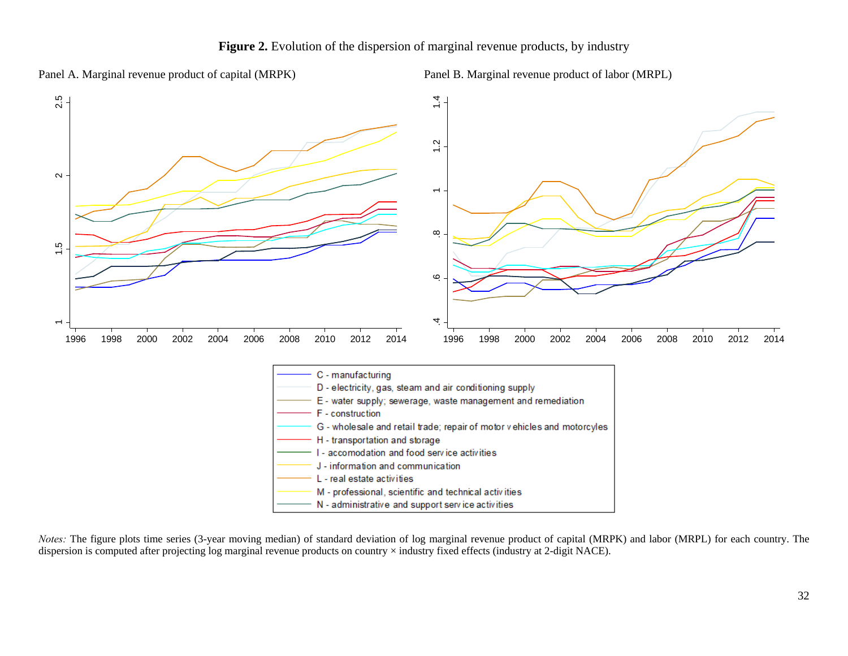Panel A. Marginal revenue product of capital (MRPK) Panel B. Marginal revenue product of labor (MRPL)



*Notes:* The figure plots time series (3-year moving median) of standard deviation of log marginal revenue product of capital (MRPK) and labor (MRPL) for each country. The dispersion is computed after projecting log marginal revenue products on country × industry fixed effects (industry at 2-digit NACE).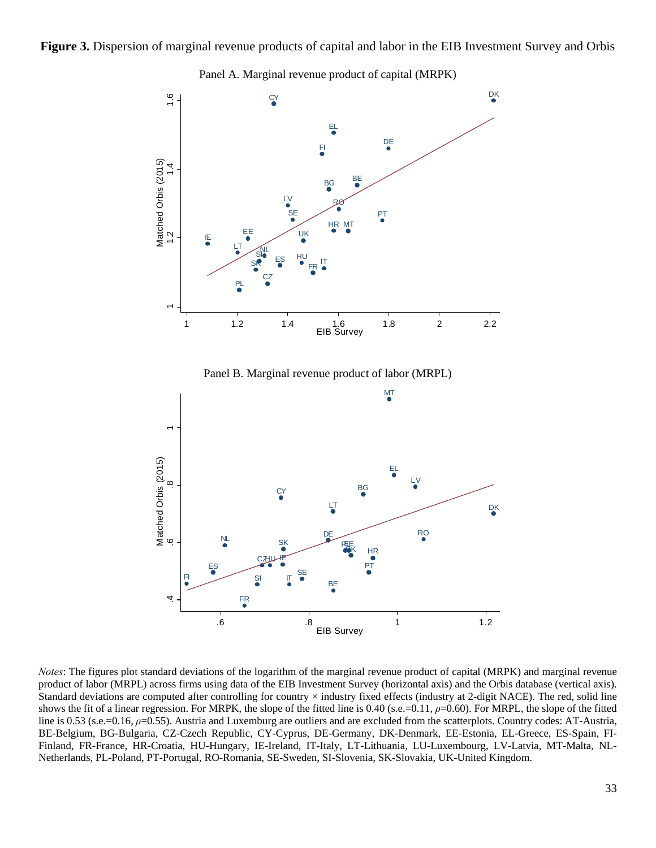### **Figure 3.** Dispersion of marginal revenue products of capital and labor in the EIB Investment Survey and Orbis



Panel A. Marginal revenue product of capital (MRPK)

*Notes*: The figures plot standard deviations of the logarithm of the marginal revenue product of capital (MRPK) and marginal revenue product of labor (MRPL) across firms using data of the EIB Investment Survey (horizontal axis) and the Orbis database (vertical axis). Standard deviations are computed after controlling for country × industry fixed effects (industry at 2-digit NACE). The red, solid line shows the fit of a linear regression. For MRPK, the slope of the fitted line is 0.40 (s.e.=0.11, *ρ*=0.60). For MRPL, the slope of the fitted line is 0.53 (s.e.=0.16, *ρ*=0.55). Austria and Luxemburg are outliers and are excluded from the scatterplots. Country codes: AT-Austria, BE-Belgium, BG-Bulgaria, CZ-Czech Republic, CY-Cyprus, DE-Germany, DK-Denmark, EE-Estonia, EL-Greece, ES-Spain, FI-Finland, FR-France, HR-Croatia, HU-Hungary, IE-Ireland, IT-Italy, LT-Lithuania, LU-Luxembourg, LV-Latvia, MT-Malta, NL-Netherlands, PL-Poland, PT-Portugal, RO-Romania, SE-Sweden, SI-Slovenia, SK-Slovakia, UK-United Kingdom.

BE

辴

.6 .8 1 1.2 EIB Survey

HR

RO<sub></sub>

PT

DE

**CZJUHE** 

IT

 $\frac{S}{\bullet}$   $\frac{S}{\bullet}$ 

SK

ES

NL

FR

FI

4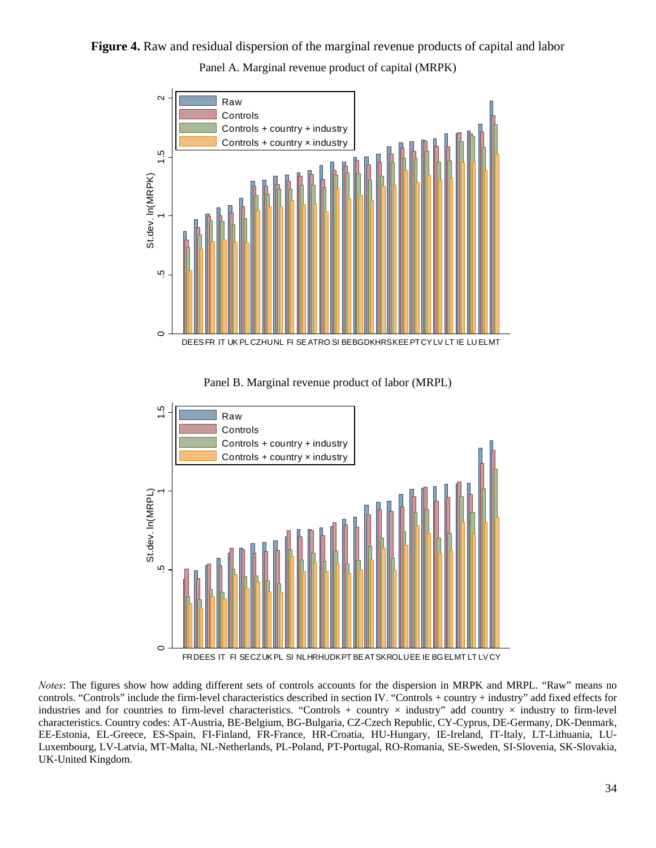Figure 4. Raw and residual dispersion of the marginal revenue products of capital and labor Panel A. Marginal revenue product of capital (MRPK)



Panel B. Marginal revenue product of labor (MRPL)



*Notes*: The figures show how adding different sets of controls accounts for the dispersion in MRPK and MRPL. "Raw" means no controls. "Controls" include the firm-level characteristics described in section IV. "Controls + country + industry" add fixed effects for industries and for countries to firm-level characteristics. "Controls + country  $\times$  industry" add country  $\times$  industry to firm-level characteristics. Country codes: AT-Austria, BE-Belgium, BG-Bulgaria, CZ-Czech Republic, CY-Cyprus, DE-Germany, DK-Denmark, EE-Estonia, EL-Greece, ES-Spain, FI-Finland, FR-France, HR-Croatia, HU-Hungary, IE-Ireland, IT-Italy, LT-Lithuania, LU-Luxembourg, LV-Latvia, MT-Malta, NL-Netherlands, PL-Poland, PT-Portugal, RO-Romania, SE-Sweden, SI-Slovenia, SK-Slovakia, UK-United Kingdom.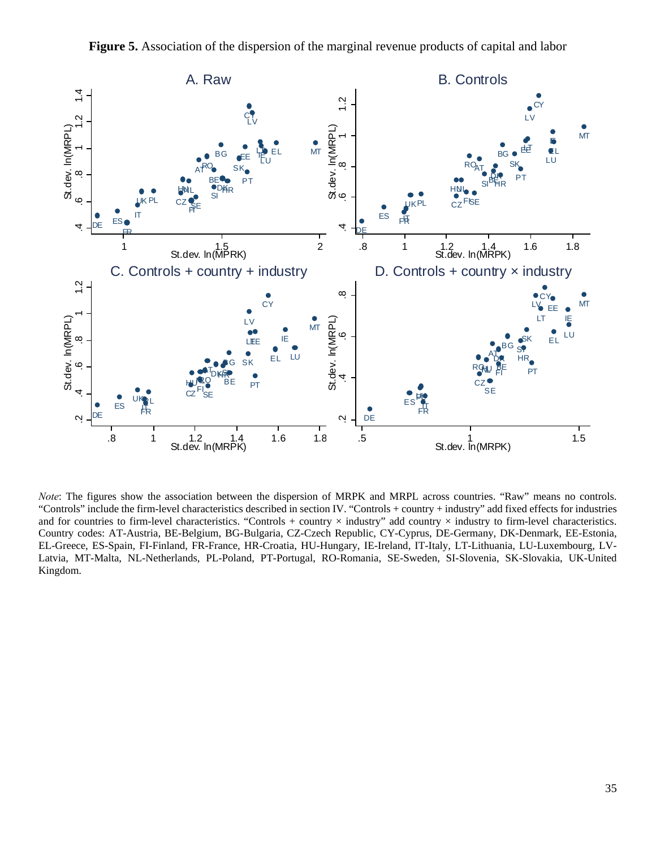

*Note*: The figures show the association between the dispersion of MRPK and MRPL across countries. "Raw" means no controls. "Controls" include the firm-level characteristics described in section IV. "Controls + country + industry" add fixed effects for industries and for countries to firm-level characteristics. "Controls + country  $\times$  industry" add country  $\times$  industry to firm-level characteristics. Country codes: AT-Austria, BE-Belgium, BG-Bulgaria, CZ-Czech Republic, CY-Cyprus, DE-Germany, DK-Denmark, EE-Estonia, EL-Greece, ES-Spain, FI-Finland, FR-France, HR-Croatia, HU-Hungary, IE-Ireland, IT-Italy, LT-Lithuania, LU-Luxembourg, LV-Latvia, MT-Malta, NL-Netherlands, PL-Poland, PT-Portugal, RO-Romania, SE-Sweden, SI-Slovenia, SK-Slovakia, UK-United Kingdom.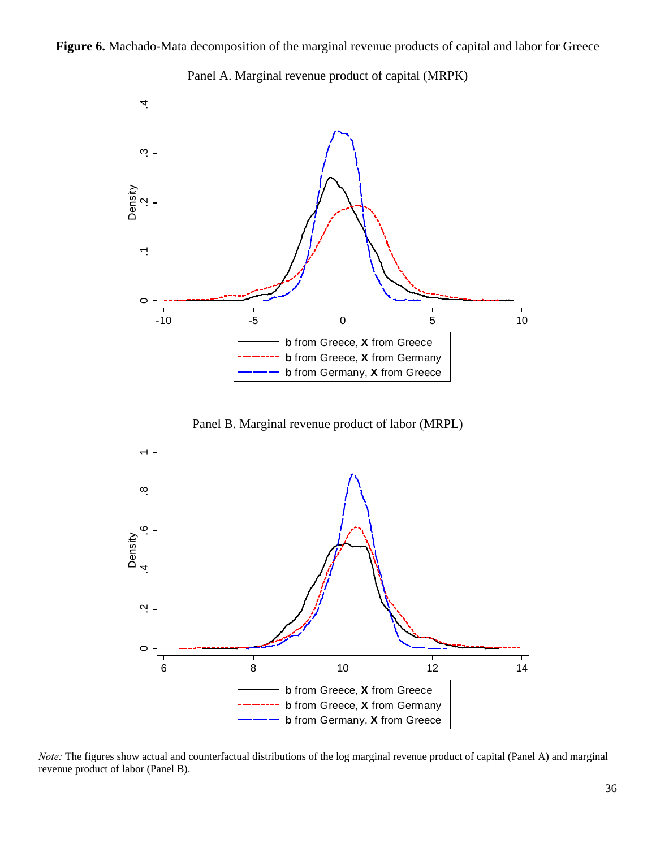Figure 6. Machado-Mata decomposition of the marginal revenue products of capital and labor for Greece



Panel A. Marginal revenue product of capital (MRPK)

Panel B. Marginal revenue product of labor (MRPL)



*Note:* The figures show actual and counterfactual distributions of the log marginal revenue product of capital (Panel A) and marginal revenue product of labor (Panel B).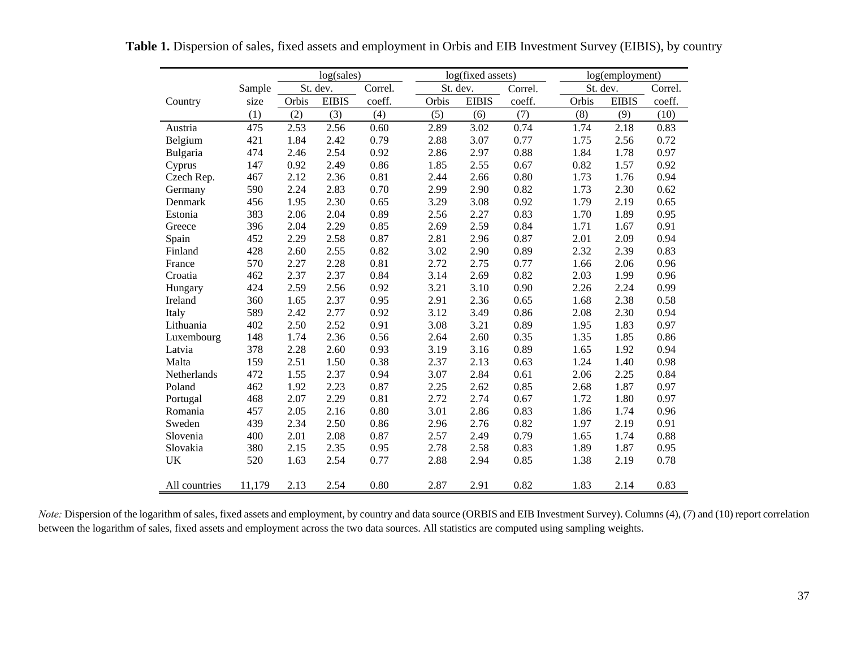|               |        | log(sales) |              |          |       | log(fixed assets) |         | log(employment) |              |         |  |
|---------------|--------|------------|--------------|----------|-------|-------------------|---------|-----------------|--------------|---------|--|
|               | Sample |            | St. dev.     | Correl.  |       | St. dev.          | Correl. |                 | St. dev.     | Correl. |  |
| Country       | size   | Orbis      | <b>EIBIS</b> | coeff.   | Orbis | <b>EIBIS</b>      | coeff.  | Orbis           | <b>EIBIS</b> | coeff.  |  |
|               | (1)    | (2)        | (3)          | (4)      | (5)   | (6)               | (7)     | (8)             | (9)          | (10)    |  |
| Austria       | 475    | 2.53       | 2.56         | 0.60     | 2.89  | 3.02              | 0.74    | 1.74            | 2.18         | 0.83    |  |
| Belgium       | 421    | 1.84       | 2.42         | 0.79     | 2.88  | 3.07              | 0.77    | 1.75            | 2.56         | 0.72    |  |
| Bulgaria      | 474    | 2.46       | 2.54         | 0.92     | 2.86  | 2.97              | 0.88    | 1.84            | 1.78         | 0.97    |  |
| Cyprus        | 147    | 0.92       | 2.49         | 0.86     | 1.85  | 2.55              | 0.67    | 0.82            | 1.57         | 0.92    |  |
| Czech Rep.    | 467    | 2.12       | 2.36         | 0.81     | 2.44  | 2.66              | 0.80    | 1.73            | 1.76         | 0.94    |  |
| Germany       | 590    | 2.24       | 2.83         | 0.70     | 2.99  | 2.90              | 0.82    | 1.73            | 2.30         | 0.62    |  |
| Denmark       | 456    | 1.95       | 2.30         | 0.65     | 3.29  | 3.08              | 0.92    | 1.79            | 2.19         | 0.65    |  |
| Estonia       | 383    | 2.06       | 2.04         | 0.89     | 2.56  | 2.27              | 0.83    | 1.70            | 1.89         | 0.95    |  |
| Greece        | 396    | 2.04       | 2.29         | 0.85     | 2.69  | 2.59              | 0.84    | 1.71            | 1.67         | 0.91    |  |
| Spain         | 452    | 2.29       | 2.58         | 0.87     | 2.81  | 2.96              | 0.87    | 2.01            | 2.09         | 0.94    |  |
| Finland       | 428    | 2.60       | 2.55         | 0.82     | 3.02  | 2.90              | 0.89    | 2.32            | 2.39         | 0.83    |  |
| France        | 570    | 2.27       | 2.28         | 0.81     | 2.72  | 2.75              | 0.77    | 1.66            | 2.06         | 0.96    |  |
| Croatia       | 462    | 2.37       | 2.37         | 0.84     | 3.14  | 2.69              | 0.82    | 2.03            | 1.99         | 0.96    |  |
| Hungary       | 424    | 2.59       | 2.56         | 0.92     | 3.21  | 3.10              | 0.90    | 2.26            | 2.24         | 0.99    |  |
| Ireland       | 360    | 1.65       | 2.37         | 0.95     | 2.91  | 2.36              | 0.65    | 1.68            | 2.38         | 0.58    |  |
| Italy         | 589    | 2.42       | 2.77         | 0.92     | 3.12  | 3.49              | 0.86    | 2.08            | 2.30         | 0.94    |  |
| Lithuania     | 402    | 2.50       | 2.52         | 0.91     | 3.08  | 3.21              | 0.89    | 1.95            | 1.83         | 0.97    |  |
| Luxembourg    | 148    | 1.74       | 2.36         | 0.56     | 2.64  | 2.60              | 0.35    | 1.35            | 1.85         | 0.86    |  |
| Latvia        | 378    | 2.28       | 2.60         | 0.93     | 3.19  | 3.16              | 0.89    | 1.65            | 1.92         | 0.94    |  |
| Malta         | 159    | 2.51       | 1.50         | 0.38     | 2.37  | 2.13              | 0.63    | 1.24            | 1.40         | 0.98    |  |
| Netherlands   | 472    | 1.55       | 2.37         | 0.94     | 3.07  | 2.84              | 0.61    | 2.06            | 2.25         | 0.84    |  |
| Poland        | 462    | 1.92       | 2.23         | 0.87     | 2.25  | 2.62              | 0.85    | 2.68            | 1.87         | 0.97    |  |
| Portugal      | 468    | 2.07       | 2.29         | 0.81     | 2.72  | 2.74              | 0.67    | 1.72            | 1.80         | 0.97    |  |
| Romania       | 457    | 2.05       | 2.16         | $0.80\,$ | 3.01  | 2.86              | 0.83    | 1.86            | 1.74         | 0.96    |  |
| Sweden        | 439    | 2.34       | 2.50         | 0.86     | 2.96  | 2.76              | 0.82    | 1.97            | 2.19         | 0.91    |  |
| Slovenia      | 400    | 2.01       | 2.08         | 0.87     | 2.57  | 2.49              | 0.79    | 1.65            | 1.74         | 0.88    |  |
| Slovakia      | 380    | 2.15       | 2.35         | 0.95     | 2.78  | 2.58              | 0.83    | 1.89            | 1.87         | 0.95    |  |
| UK            | 520    | 1.63       | 2.54         | 0.77     | 2.88  | 2.94              | 0.85    | 1.38            | 2.19         | 0.78    |  |
| All countries | 11,179 | 2.13       | 2.54         | 0.80     | 2.87  | 2.91              | 0.82    | 1.83            | 2.14         | 0.83    |  |

Table 1. Dispersion of sales, fixed assets and employment in Orbis and EIB Investment Survey (EIBIS), by country

*Note*: Dispersion of the logarithm of sales, fixed assets and employment, by country and data source (ORBIS and EIB Investment Survey). Columns (4), (7) and (10) report correlation between the logarithm of sales, fixed assets and employment across the two data sources. All statistics are computed using sampling weights.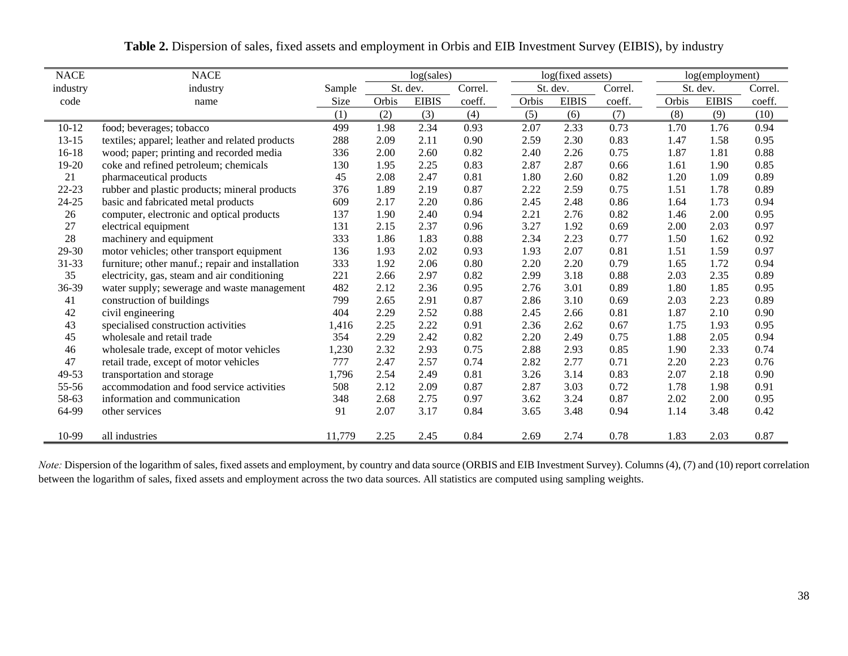| <b>NACE</b> | <b>NACE</b>                                      |        |       | log(sales)   |         |       | log(fixed assets) |         |       | log(employment) |         |  |
|-------------|--------------------------------------------------|--------|-------|--------------|---------|-------|-------------------|---------|-------|-----------------|---------|--|
| industry    | industry                                         | Sample |       | St. dev.     | Correl. |       | St. dev.          | Correl. |       | St. dev.        | Correl. |  |
| code        | name                                             |        | Orbis | <b>EIBIS</b> | coeff.  | Orbis | <b>EIBIS</b>      | coeff.  | Orbis | <b>EIBIS</b>    | coeff.  |  |
|             |                                                  | (1)    | (2)   | (3)          | (4)     | (5)   | (6)               | (7)     | (8)   | (9)             | (10)    |  |
| $10-12$     | food; beverages; tobacco                         | 499    | 1.98  | 2.34         | 0.93    | 2.07  | 2.33              | 0.73    | 1.70  | 1.76            | 0.94    |  |
| $13 - 15$   | textiles; apparel; leather and related products  | 288    | 2.09  | 2.11         | 0.90    | 2.59  | 2.30              | 0.83    | 1.47  | 1.58            | 0.95    |  |
| 16-18       | wood; paper; printing and recorded media         | 336    | 2.00  | 2.60         | 0.82    | 2.40  | 2.26              | 0.75    | 1.87  | 1.81            | 0.88    |  |
| 19-20       | coke and refined petroleum; chemicals            | 130    | 1.95  | 2.25         | 0.83    | 2.87  | 2.87              | 0.66    | 1.61  | 1.90            | 0.85    |  |
| 21          | pharmaceutical products                          | 45     | 2.08  | 2.47         | 0.81    | 1.80  | 2.60              | 0.82    | 1.20  | 1.09            | 0.89    |  |
| 22-23       | rubber and plastic products; mineral products    | 376    | 1.89  | 2.19         | 0.87    | 2.22  | 2.59              | 0.75    | 1.51  | 1.78            | 0.89    |  |
| $24 - 25$   | basic and fabricated metal products              | 609    | 2.17  | 2.20         | 0.86    | 2.45  | 2.48              | 0.86    | 1.64  | 1.73            | 0.94    |  |
| 26          | computer, electronic and optical products        | 137    | 1.90  | 2.40         | 0.94    | 2.21  | 2.76              | 0.82    | 1.46  | 2.00            | 0.95    |  |
| 27          | electrical equipment                             | 131    | 2.15  | 2.37         | 0.96    | 3.27  | 1.92              | 0.69    | 2.00  | 2.03            | 0.97    |  |
| 28          | machinery and equipment                          | 333    | 1.86  | 1.83         | 0.88    | 2.34  | 2.23              | 0.77    | 1.50  | 1.62            | 0.92    |  |
| 29-30       | motor vehicles; other transport equipment        | 136    | 1.93  | 2.02         | 0.93    | 1.93  | 2.07              | 0.81    | 1.51  | 1.59            | 0.97    |  |
| 31-33       | furniture; other manuf.; repair and installation | 333    | 1.92  | 2.06         | 0.80    | 2.20  | 2.20              | 0.79    | 1.65  | 1.72            | 0.94    |  |
| 35          | electricity, gas, steam and air conditioning     | 221    | 2.66  | 2.97         | 0.82    | 2.99  | 3.18              | 0.88    | 2.03  | 2.35            | 0.89    |  |
| 36-39       | water supply; sewerage and waste management      | 482    | 2.12  | 2.36         | 0.95    | 2.76  | 3.01              | 0.89    | 1.80  | 1.85            | 0.95    |  |
| 41          | construction of buildings                        | 799    | 2.65  | 2.91         | 0.87    | 2.86  | 3.10              | 0.69    | 2.03  | 2.23            | 0.89    |  |
| 42          | civil engineering                                | 404    | 2.29  | 2.52         | 0.88    | 2.45  | 2.66              | 0.81    | 1.87  | 2.10            | 0.90    |  |
| 43          | specialised construction activities              | 1,416  | 2.25  | 2.22         | 0.91    | 2.36  | 2.62              | 0.67    | 1.75  | 1.93            | 0.95    |  |
| 45          | wholesale and retail trade                       | 354    | 2.29  | 2.42         | 0.82    | 2.20  | 2.49              | 0.75    | 1.88  | 2.05            | 0.94    |  |
| 46          | wholesale trade, except of motor vehicles        | 1,230  | 2.32  | 2.93         | 0.75    | 2.88  | 2.93              | 0.85    | 1.90  | 2.33            | 0.74    |  |
| 47          | retail trade, except of motor vehicles           | 777    | 2.47  | 2.57         | 0.74    | 2.82  | 2.77              | 0.71    | 2.20  | 2.23            | 0.76    |  |
| 49-53       | transportation and storage                       | 1,796  | 2.54  | 2.49         | 0.81    | 3.26  | 3.14              | 0.83    | 2.07  | 2.18            | 0.90    |  |
| 55-56       | accommodation and food service activities        | 508    | 2.12  | 2.09         | 0.87    | 2.87  | 3.03              | 0.72    | 1.78  | 1.98            | 0.91    |  |
| 58-63       | information and communication                    | 348    | 2.68  | 2.75         | 0.97    | 3.62  | 3.24              | 0.87    | 2.02  | 2.00            | 0.95    |  |
| 64-99       | other services                                   | 91     | 2.07  | 3.17         | 0.84    | 3.65  | 3.48              | 0.94    | 1.14  | 3.48            | 0.42    |  |
|             |                                                  |        |       |              |         |       |                   |         |       |                 |         |  |
| 10-99       | all industries                                   | 11,779 | 2.25  | 2.45         | 0.84    | 2.69  | 2.74              | 0.78    | 1.83  | 2.03            | 0.87    |  |

**Table 2.** Dispersion of sales, fixed assets and employment in Orbis and EIB Investment Survey (EIBIS), by industry

*Note:* Dispersion of the logarithm of sales, fixed assets and employment, by country and data source (ORBIS and EIB Investment Survey). Columns (4), (7) and (10) report correlation between the logarithm of sales, fixed assets and employment across the two data sources. All statistics are computed using sampling weights.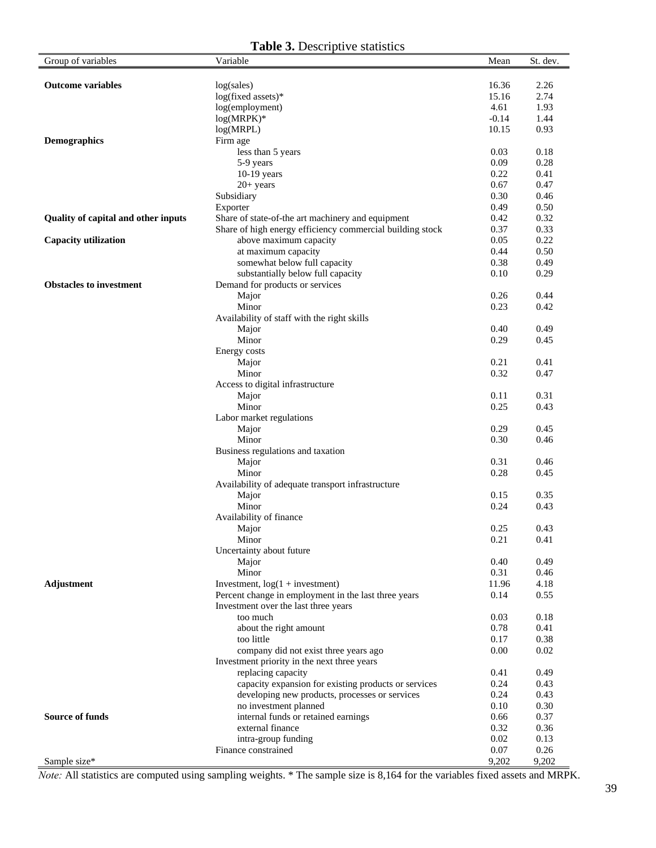## **Table 3.** Descriptive statistics

| Group of variables                         | <b>rapic 9.</b> Descriptive statistics<br>Variable           | Mean            | St. dev.     |
|--------------------------------------------|--------------------------------------------------------------|-----------------|--------------|
|                                            |                                                              |                 |              |
| <b>Outcome variables</b>                   | log(sales)                                                   | 16.36           | 2.26         |
|                                            | log(fixed assets)*                                           | 15.16           | 2.74         |
|                                            | log(employment)                                              | 4.61<br>$-0.14$ | 1.93         |
|                                            | $log(MRPK)*$                                                 | 10.15           | 1.44         |
| <b>Demographics</b>                        | log(MRPL)<br>Firm age                                        |                 | 0.93         |
|                                            | less than 5 years                                            | 0.03            | 0.18         |
|                                            | 5-9 years                                                    | 0.09            | 0.28         |
|                                            | 10-19 years                                                  | 0.22            | 0.41         |
|                                            | $20+$ years                                                  | 0.67            | 0.47         |
|                                            | Subsidiary                                                   | 0.30            | 0.46         |
|                                            | Exporter                                                     | 0.49            | 0.50         |
| <b>Quality of capital and other inputs</b> | Share of state-of-the art machinery and equipment            | 0.42            | 0.32         |
|                                            | Share of high energy efficiency commercial building stock    | 0.37            | 0.33         |
| <b>Capacity utilization</b>                | above maximum capacity                                       | 0.05            | 0.22         |
|                                            | at maximum capacity                                          | 0.44            | 0.50         |
|                                            | somewhat below full capacity                                 | 0.38            | 0.49         |
|                                            | substantially below full capacity                            | 0.10            | 0.29         |
| <b>Obstacles to investment</b>             | Demand for products or services                              |                 |              |
|                                            | Major                                                        | 0.26            | 0.44         |
|                                            | Minor                                                        | 0.23            | 0.42         |
|                                            | Availability of staff with the right skills                  |                 |              |
|                                            | Major                                                        | 0.40            | 0.49         |
|                                            | Minor                                                        | 0.29            | 0.45         |
|                                            | Energy costs                                                 |                 |              |
|                                            | Major                                                        | 0.21            | 0.41         |
|                                            | Minor                                                        | 0.32            | 0.47         |
|                                            | Access to digital infrastructure                             |                 |              |
|                                            | Major                                                        | 0.11            | 0.31         |
|                                            | Minor                                                        | 0.25            | 0.43         |
|                                            | Labor market regulations                                     | 0.29            | 0.45         |
|                                            | Major<br>Minor                                               | 0.30            |              |
|                                            | Business regulations and taxation                            |                 | 0.46         |
|                                            | Major                                                        | 0.31            | 0.46         |
|                                            | Minor                                                        | 0.28            | 0.45         |
|                                            | Availability of adequate transport infrastructure            |                 |              |
|                                            | Major                                                        | 0.15            | 0.35         |
|                                            | Minor                                                        | 0.24            | 0.43         |
|                                            | Availability of finance                                      |                 |              |
|                                            | Major                                                        | 0.25            | 0.43         |
|                                            | Minor                                                        | 0.21            | 0.41         |
|                                            | Uncertainty about future                                     |                 |              |
|                                            | Major                                                        | 0.40            | 0.49         |
|                                            | Minor                                                        | 0.31            | 0.46         |
| <b>Adjustment</b>                          | Investment, $log(1 + investment)$                            | 11.96           | 4.18         |
|                                            | Percent change in employment in the last three years         | 0.14            | 0.55         |
|                                            | Investment over the last three years                         |                 |              |
|                                            | too much                                                     | 0.03            | 0.18         |
|                                            | about the right amount                                       | 0.78            | 0.41         |
|                                            | too little                                                   | 0.17            | 0.38         |
|                                            | company did not exist three years ago                        | 0.00            | $0.02\,$     |
|                                            | Investment priority in the next three years                  |                 |              |
|                                            | replacing capacity                                           | 0.41            | 0.49         |
|                                            | capacity expansion for existing products or services         | 0.24            | 0.43         |
|                                            | developing new products, processes or services               | 0.24            | 0.43         |
| <b>Source of funds</b>                     | no investment planned<br>internal funds or retained earnings | 0.10<br>0.66    | 0.30<br>0.37 |
|                                            | external finance                                             | 0.32            | 0.36         |
|                                            | intra-group funding                                          | 0.02            | 0.13         |
|                                            | Finance constrained                                          | 0.07            | 0.26         |
| Sample size*                               |                                                              | 9,202           | 9,202        |

*Note:* All statistics are computed using sampling weights. \* The sample size is 8,164 for the variables fixed assets and MRPK.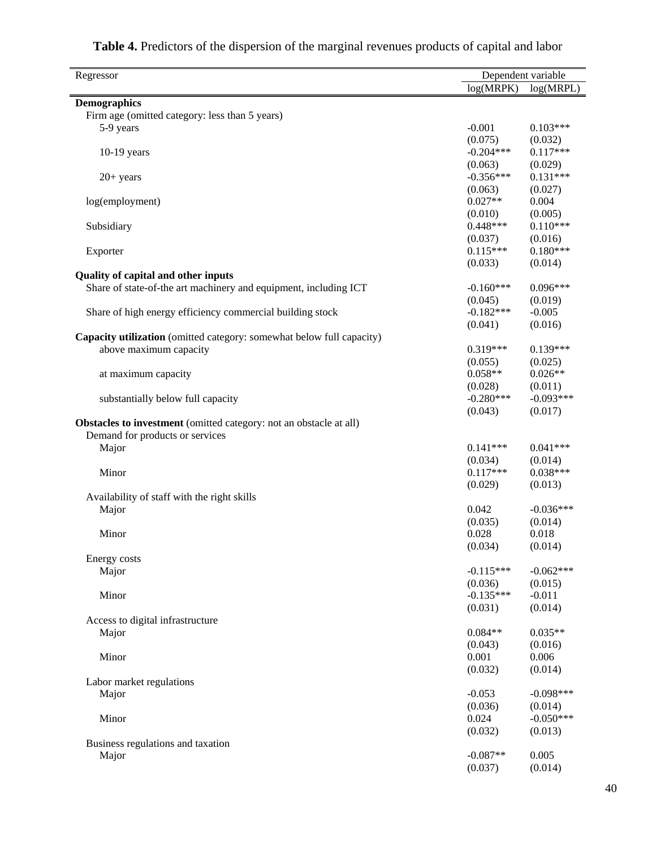| Regressor                                                             | Dependent variable    |                        |
|-----------------------------------------------------------------------|-----------------------|------------------------|
|                                                                       | log(MRPK)             | log(MRPL)              |
| <b>Demographics</b>                                                   |                       |                        |
| Firm age (omitted category: less than 5 years)                        |                       |                        |
| 5-9 years                                                             | $-0.001$              | $0.103***$             |
|                                                                       | (0.075)               | (0.032)                |
| $10-19$ years                                                         | $-0.204***$           | $0.117***$             |
|                                                                       | (0.063)               | (0.029)                |
| $20+ years$                                                           | $-0.356***$           | $0.131***$             |
|                                                                       | (0.063)               | (0.027)                |
| log(employment)                                                       | $0.027**$             | 0.004                  |
|                                                                       | (0.010)               | (0.005)                |
| Subsidiary                                                            | $0.448***$            | $0.110***$             |
|                                                                       | (0.037)<br>$0.115***$ | (0.016)<br>$0.180***$  |
| Exporter                                                              | (0.033)               | (0.014)                |
| <b>Quality of capital and other inputs</b>                            |                       |                        |
| Share of state-of-the art machinery and equipment, including ICT      | $-0.160***$           | $0.096***$             |
|                                                                       | (0.045)               | (0.019)                |
| Share of high energy efficiency commercial building stock             | $-0.182***$           | $-0.005$               |
|                                                                       | (0.041)               | (0.016)                |
| Capacity utilization (omitted category: somewhat below full capacity) |                       |                        |
| above maximum capacity                                                | $0.319***$            | $0.139***$             |
|                                                                       | (0.055)               | (0.025)                |
| at maximum capacity                                                   | $0.058**$             | $0.026**$              |
|                                                                       | (0.028)               | (0.011)                |
| substantially below full capacity                                     | $-0.280***$           | $-0.093***$            |
|                                                                       | (0.043)               | (0.017)                |
| Obstacles to investment (omitted category: not an obstacle at all)    |                       |                        |
| Demand for products or services                                       |                       |                        |
| Major                                                                 | $0.141***$            | $0.041***$             |
|                                                                       | (0.034)               | (0.014)                |
| Minor                                                                 | $0.117***$            | $0.038***$             |
| Availability of staff with the right skills                           | (0.029)               | (0.013)                |
| Major                                                                 | 0.042                 | $-0.036***$            |
|                                                                       | (0.035)               | (0.014)                |
| Minor                                                                 | 0.028                 | 0.018                  |
|                                                                       | (0.034)               | (0.014)                |
| Energy costs                                                          |                       |                        |
| Major                                                                 | $-0.115***$           | $-0.062***$            |
|                                                                       | (0.036)               | (0.015)                |
| Minor                                                                 | $-0.135***$           | $-0.011$               |
|                                                                       | (0.031)               | (0.014)                |
| Access to digital infrastructure                                      |                       |                        |
| Major                                                                 | $0.084**$             | $0.035**$              |
|                                                                       | (0.043)               | (0.016)                |
| Minor                                                                 | 0.001                 | 0.006                  |
|                                                                       | (0.032)               | (0.014)                |
| Labor market regulations                                              |                       |                        |
| Major                                                                 | $-0.053$              | $-0.098***$            |
| Minor                                                                 | (0.036)<br>0.024      | (0.014)<br>$-0.050***$ |
|                                                                       | (0.032)               | (0.013)                |
| Business regulations and taxation                                     |                       |                        |
| Major                                                                 | $-0.087**$            | 0.005                  |
|                                                                       | (0.037)               | (0.014)                |
|                                                                       |                       |                        |

# **Table 4.** Predictors of the dispersion of the marginal revenues products of capital and labor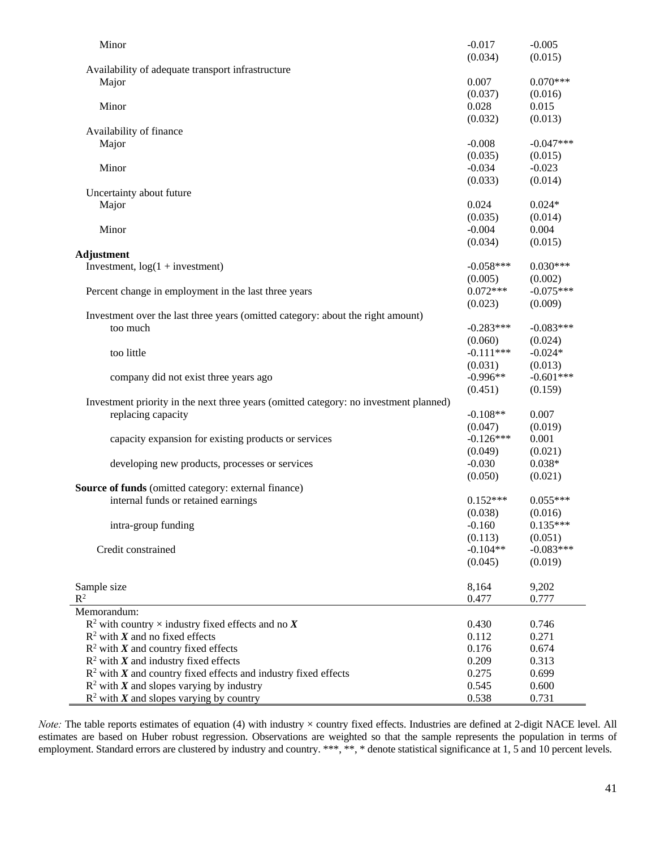| Minor                                                                                 | $-0.017$       | $-0.005$       |
|---------------------------------------------------------------------------------------|----------------|----------------|
|                                                                                       | (0.034)        | (0.015)        |
| Availability of adequate transport infrastructure                                     |                |                |
| Major                                                                                 | 0.007          | $0.070***$     |
|                                                                                       | (0.037)        | (0.016)        |
| Minor                                                                                 | 0.028          | 0.015          |
|                                                                                       | (0.032)        | (0.013)        |
| Availability of finance                                                               |                |                |
| Major                                                                                 | $-0.008$       | $-0.047***$    |
|                                                                                       | (0.035)        | (0.015)        |
| Minor                                                                                 | $-0.034$       | $-0.023$       |
|                                                                                       | (0.033)        | (0.014)        |
| Uncertainty about future                                                              | 0.024          | $0.024*$       |
| Major                                                                                 | (0.035)        | (0.014)        |
| Minor                                                                                 | $-0.004$       | 0.004          |
|                                                                                       | (0.034)        | (0.015)        |
| <b>Adjustment</b>                                                                     |                |                |
| Investment, $log(1 + investment)$                                                     | $-0.058***$    | $0.030***$     |
|                                                                                       | (0.005)        | (0.002)        |
| Percent change in employment in the last three years                                  | $0.072***$     | $-0.075***$    |
|                                                                                       | (0.023)        | (0.009)        |
| Investment over the last three years (omitted category: about the right amount)       |                |                |
| too much                                                                              | $-0.283***$    | $-0.083***$    |
|                                                                                       | (0.060)        | (0.024)        |
| too little                                                                            | $-0.111***$    | $-0.024*$      |
|                                                                                       | (0.031)        | (0.013)        |
| company did not exist three years ago                                                 | $-0.996**$     | $-0.601***$    |
|                                                                                       | (0.451)        | (0.159)        |
| Investment priority in the next three years (omitted category: no investment planned) |                |                |
| replacing capacity                                                                    | $-0.108**$     | 0.007          |
|                                                                                       | (0.047)        | (0.019)        |
| capacity expansion for existing products or services                                  | $-0.126***$    | 0.001          |
|                                                                                       | (0.049)        | (0.021)        |
| developing new products, processes or services                                        | $-0.030$       | $0.038*$       |
|                                                                                       | (0.050)        | (0.021)        |
| <b>Source of funds</b> (omitted category: external finance)                           |                |                |
| internal funds or retained earnings                                                   | $0.152***$     | $0.055***$     |
|                                                                                       | (0.038)        | (0.016)        |
| intra-group funding                                                                   | $-0.160$       | $0.135***$     |
|                                                                                       | (0.113)        | (0.051)        |
| Credit constrained                                                                    | $-0.104**$     | $-0.083***$    |
|                                                                                       | (0.045)        | (0.019)        |
|                                                                                       |                |                |
| Sample size                                                                           | 8,164          | 9,202          |
| $\mathbb{R}^2$                                                                        | 0.477          | 0.777          |
| Memorandum:                                                                           |                |                |
| $R^2$ with country $\times$ industry fixed effects and no X                           | 0.430          | 0.746          |
| $R^2$ with X and no fixed effects                                                     | 0.112          | 0.271          |
| $R^2$ with X and country fixed effects<br>$R^2$ with X and industry fixed effects     | 0.176<br>0.209 | 0.674<br>0.313 |
| $R2$ with X and country fixed effects and industry fixed effects                      | 0.275          | 0.699          |
| $R^2$ with X and slopes varying by industry                                           | 0.545          | 0.600          |
| $R^2$ with X and slopes varying by country                                            | 0.538          | 0.731          |
|                                                                                       |                |                |

*Note:* The table reports estimates of equation (4) with industry × country fixed effects. Industries are defined at 2-digit NACE level. All estimates are based on Huber robust regression. Observations are weighted so that the sample represents the population in terms of employment. Standard errors are clustered by industry and country. \*\*\*, \*\*, \* denote statistical significance at 1, 5 and 10 percent levels.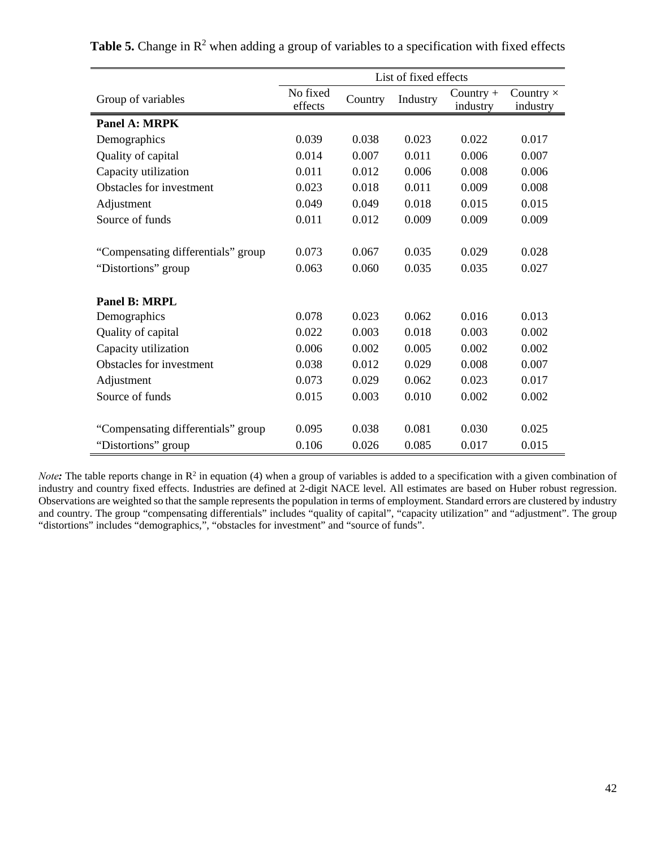|                                    | List of fixed effects |         |          |                         |                              |  |  |
|------------------------------------|-----------------------|---------|----------|-------------------------|------------------------------|--|--|
| Group of variables                 | No fixed<br>effects   | Country | Industry | Country $+$<br>industry | Country $\times$<br>industry |  |  |
| <b>Panel A: MRPK</b>               |                       |         |          |                         |                              |  |  |
| Demographics                       | 0.039                 | 0.038   | 0.023    | 0.022                   | 0.017                        |  |  |
| Quality of capital                 | 0.014                 | 0.007   | 0.011    | 0.006                   | 0.007                        |  |  |
| Capacity utilization               | 0.011                 | 0.012   | 0.006    | 0.008                   | 0.006                        |  |  |
| Obstacles for investment           | 0.023                 | 0.018   | 0.011    | 0.009                   | 0.008                        |  |  |
| Adjustment                         | 0.049                 | 0.049   | 0.018    | 0.015                   | 0.015                        |  |  |
| Source of funds                    | 0.011                 | 0.012   | 0.009    | 0.009                   | 0.009                        |  |  |
|                                    |                       |         |          |                         |                              |  |  |
| "Compensating differentials" group | 0.073                 | 0.067   | 0.035    | 0.029                   | 0.028                        |  |  |
| "Distortions" group                | 0.063                 | 0.060   | 0.035    | 0.035                   | 0.027                        |  |  |
| <b>Panel B: MRPL</b>               |                       |         |          |                         |                              |  |  |
| Demographics                       | 0.078                 | 0.023   | 0.062    | 0.016                   | 0.013                        |  |  |
| Quality of capital                 | 0.022                 | 0.003   | 0.018    | 0.003                   | 0.002                        |  |  |
| Capacity utilization               | 0.006                 | 0.002   | 0.005    | 0.002                   | 0.002                        |  |  |
| Obstacles for investment           | 0.038                 | 0.012   | 0.029    | 0.008                   | 0.007                        |  |  |
| Adjustment                         | 0.073                 | 0.029   | 0.062    | 0.023                   | 0.017                        |  |  |
| Source of funds                    | 0.015                 | 0.003   | 0.010    | 0.002                   | 0.002                        |  |  |
| "Compensating differentials" group | 0.095                 | 0.038   | 0.081    | 0.030                   | 0.025                        |  |  |
| "Distortions" group                | 0.106                 | 0.026   | 0.085    | 0.017                   | 0.015                        |  |  |

**Table 5.** Change in  $\mathbb{R}^2$  when adding a group of variables to a specification with fixed effects

*Note*: The table reports change in R<sup>2</sup> in equation (4) when a group of variables is added to a specification with a given combination of industry and country fixed effects. Industries are defined at 2-digit NACE level. All estimates are based on Huber robust regression. Observations are weighted so that the sample represents the population in terms of employment. Standard errors are clustered by industry and country. The group "compensating differentials" includes "quality of capital", "capacity utilization" and "adjustment". The group "distortions" includes "demographics,", "obstacles for investment" and "source of funds".